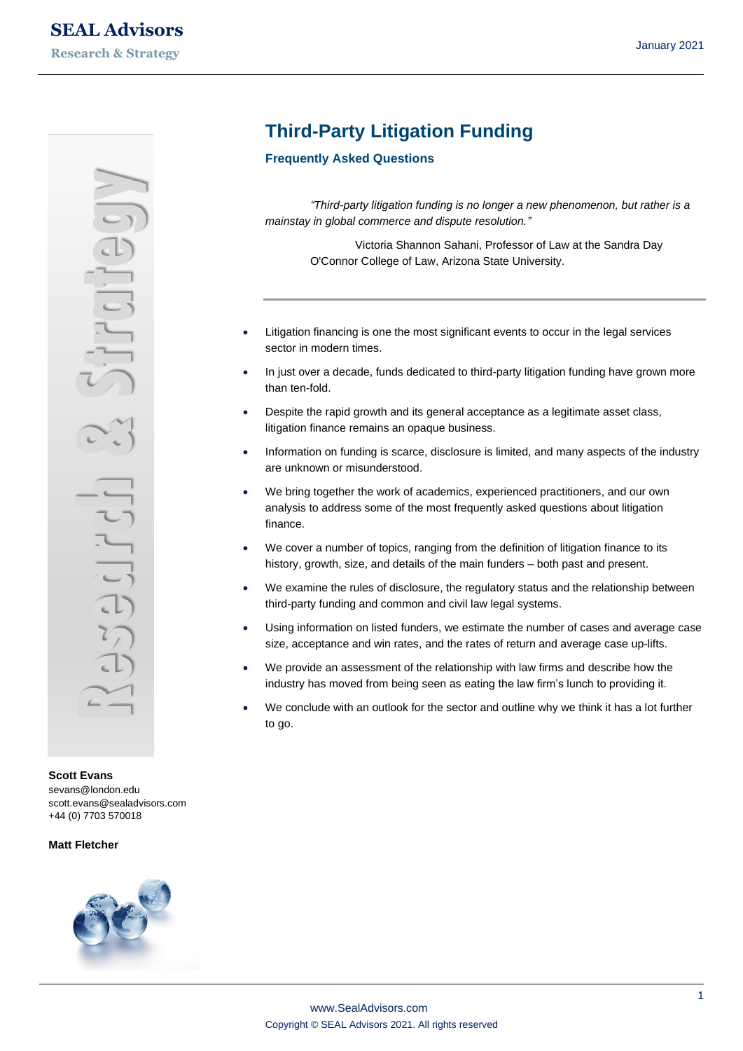**Scott Evans** [sevans@london.edu](mailto:sevans@london.edu) scott.evans@sealadvisors.com +44 (0) 7703 570018

#### **Matt Fletcher**



# **Third-Party Litigation Funding**

#### **Frequently Asked Questions**

*"Third-party litigation funding is no longer a new phenomenon, but rather is a mainstay in global commerce and dispute resolution."*

> Victoria Shannon Sahani, Professor of Law at the Sandra Day O'Connor College of Law, Arizona State University.

- Litigation financing is one the most significant events to occur in the legal services sector in modern times.
- In just over a decade, funds dedicated to third-party litigation funding have grown more than ten-fold.
- Despite the rapid growth and its general acceptance as a legitimate asset class, litigation finance remains an opaque business.
- Information on funding is scarce, disclosure is limited, and many aspects of the industry are unknown or misunderstood.
- We bring together the work of academics, experienced practitioners, and our own analysis to address some of the most frequently asked questions about litigation finance.
- We cover a number of topics, ranging from the definition of litigation finance to its history, growth, size, and details of the main funders – both past and present.
- We examine the rules of disclosure, the regulatory status and the relationship between third-party funding and common and civil law legal systems.
- Using information on listed funders, we estimate the number of cases and average case size, acceptance and win rates, and the rates of return and average case up-lifts.
- We provide an assessment of the relationship with law firms and describe how the industry has moved from being seen as eating the law firm's lunch to providing it.
- We conclude with an outlook for the sector and outline why we think it has a lot further to go.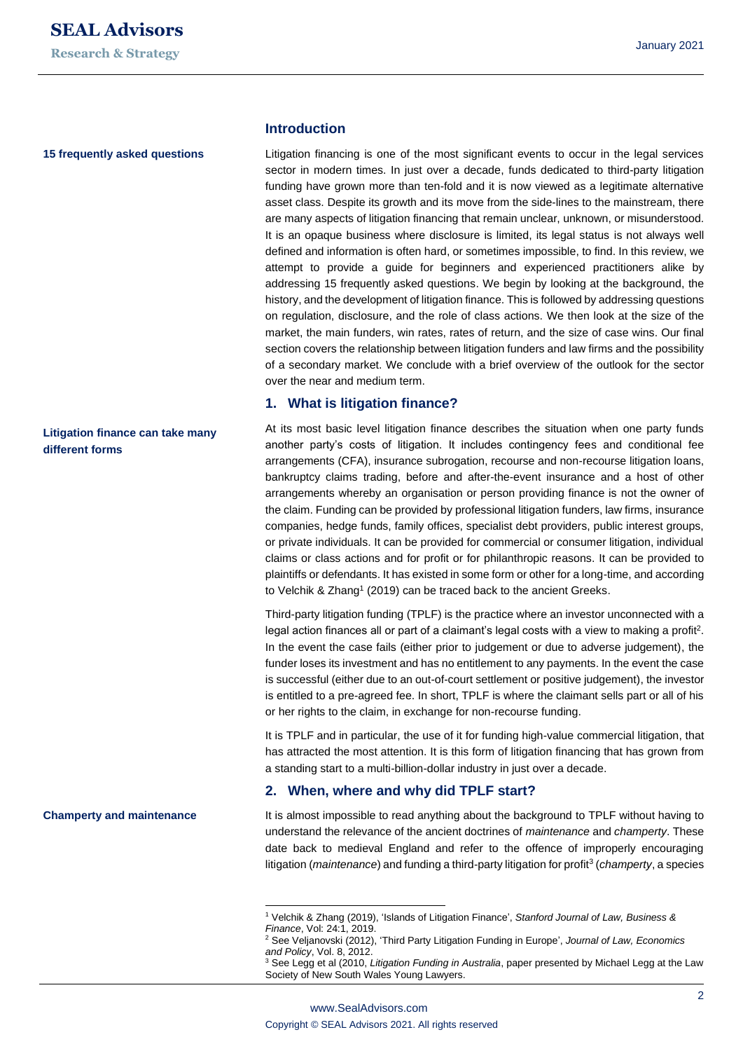#### **15 frequently asked questions**

# **Litigation finance can take many different forms**

**Champerty and maintenance**

#### **Introduction**

Litigation financing is one of the most significant events to occur in the legal services sector in modern times. In just over a decade, funds dedicated to third-party litigation funding have grown more than ten-fold and it is now viewed as a legitimate alternative asset class. Despite its growth and its move from the side-lines to the mainstream, there are many aspects of litigation financing that remain unclear, unknown, or misunderstood. It is an opaque business where disclosure is limited, its legal status is not always well defined and information is often hard, or sometimes impossible, to find. In this review, we attempt to provide a guide for beginners and experienced practitioners alike by addressing 15 frequently asked questions. We begin by looking at the background, the history, and the development of litigation finance. This is followed by addressing questions on regulation, disclosure, and the role of class actions. We then look at the size of the market, the main funders, win rates, rates of return, and the size of case wins. Our final section covers the relationship between litigation funders and law firms and the possibility of a secondary market. We conclude with a brief overview of the outlook for the sector over the near and medium term.

#### **1. What is litigation finance?**

At its most basic level litigation finance describes the situation when one party funds another party's costs of litigation. It includes contingency fees and conditional fee arrangements (CFA), insurance subrogation, recourse and non-recourse litigation loans, bankruptcy claims trading, before and after-the-event insurance and a host of other arrangements whereby an organisation or person providing finance is not the owner of the claim. Funding can be provided by professional litigation funders, law firms, insurance companies, hedge funds, family offices, specialist debt providers, public interest groups, or private individuals. It can be provided for commercial or consumer litigation, individual claims or class actions and for profit or for philanthropic reasons. It can be provided to plaintiffs or defendants. It has existed in some form or other for a long-time, and according to Velchik & Zhang<sup>1</sup> (2019) can be traced back to the ancient Greeks.

Third-party litigation funding (TPLF) is the practice where an investor unconnected with a legal action finances all or part of a claimant's legal costs with a view to making a profit<sup>2</sup>. In the event the case fails (either prior to judgement or due to adverse judgement), the funder loses its investment and has no entitlement to any payments. In the event the case is successful (either due to an out-of-court settlement or positive judgement), the investor is entitled to a pre-agreed fee. In short, TPLF is where the claimant sells part or all of his or her rights to the claim, in exchange for non-recourse funding.

It is TPLF and in particular, the use of it for funding high-value commercial litigation, that has attracted the most attention. It is this form of litigation financing that has grown from a standing start to a multi-billion-dollar industry in just over a decade.

#### **2. When, where and why did TPLF start?**

It is almost impossible to read anything about the background to TPLF without having to understand the relevance of the ancient doctrines of *maintenance* and *champerty*. These date back to medieval England and refer to the offence of improperly encouraging litigation (*maintenance*) and funding a third-party litigation for profit<sup>3</sup> (*champerty*, a species

<sup>1</sup> Velchik & Zhang (2019), 'Islands of Litigation Finance', *Stanford Journal of Law, Business & Finance*, Vol: 24:1, 2019.

<sup>2</sup> See Veljanovski (2012), 'Third Party Litigation Funding in Europe', *Journal of Law, Economics and Policy*, Vol. 8, 2012.

<sup>3</sup> See Legg et al (2010, *Litigation Funding in Australia*, paper presented by Michael Legg at the Law Society of New South Wales Young Lawyers.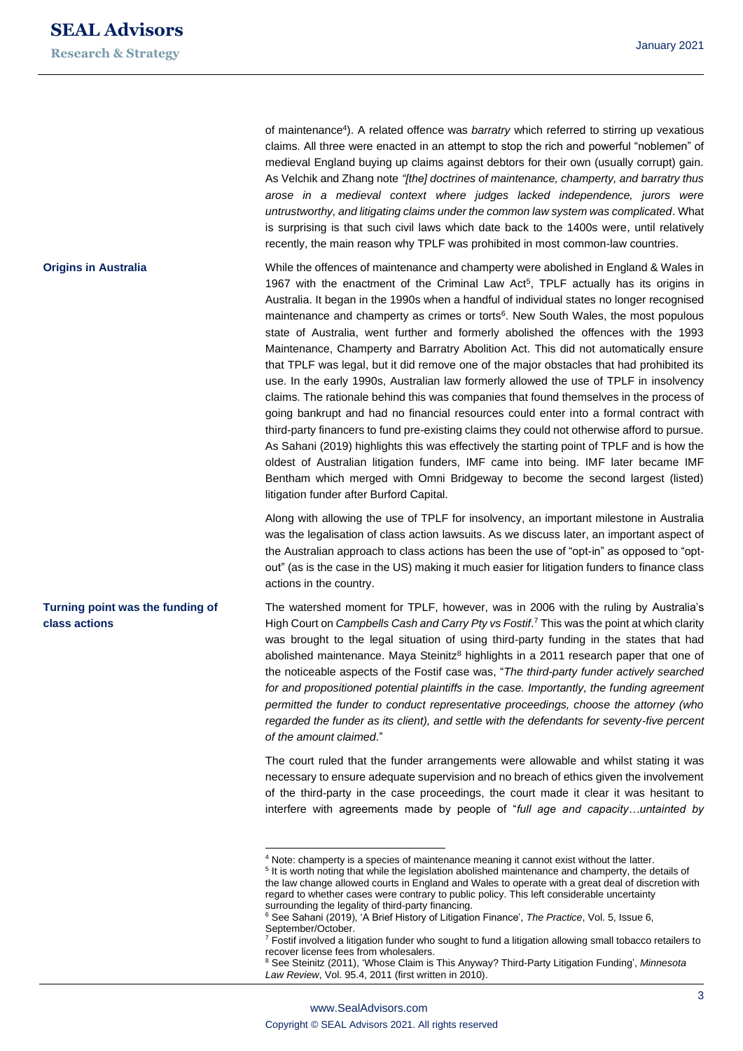**Origins in Australia**

**Turning point was the funding of** 

**class actions**

of maintenance<sup>4</sup>). A related offence was *barratry* which referred to stirring up vexatious claims. All three were enacted in an attempt to stop the rich and powerful "noblemen" of medieval England buying up claims against debtors for their own (usually corrupt) gain. As Velchik and Zhang note *"[the] doctrines of maintenance, champerty, and barratry thus arose in a medieval context where judges lacked independence, jurors were untrustworthy, and litigating claims under the common law system was complicated*. What is surprising is that such civil laws which date back to the 1400s were, until relatively recently, the main reason why TPLF was prohibited in most common-law countries.

While the offences of maintenance and champerty were abolished in England & Wales in 1967 with the enactment of the Criminal Law Act $5$ , TPLF actually has its origins in Australia. It began in the 1990s when a handful of individual states no longer recognised maintenance and champerty as crimes or torts<sup>6</sup>. New South Wales, the most populous state of Australia, went further and formerly abolished the offences with the 1993 Maintenance, Champerty and Barratry Abolition Act. This did not automatically ensure that TPLF was legal, but it did remove one of the major obstacles that had prohibited its use. In the early 1990s, Australian law formerly allowed the use of TPLF in insolvency claims. The rationale behind this was companies that found themselves in the process of going bankrupt and had no financial resources could enter into a formal contract with third-party financers to fund pre-existing claims they could not otherwise afford to pursue. As Sahani (2019) highlights this was effectively the starting point of TPLF and is how the oldest of Australian litigation funders, IMF came into being. IMF later became IMF Bentham which merged with Omni Bridgeway to become the second largest (listed) litigation funder after Burford Capital.

Along with allowing the use of TPLF for insolvency, an important milestone in Australia was the legalisation of class action lawsuits. As we discuss later, an important aspect of the Australian approach to class actions has been the use of "opt-in" as opposed to "optout" (as is the case in the US) making it much easier for litigation funders to finance class actions in the country.

The watershed moment for TPLF, however, was in 2006 with the ruling by Australia's High Court on *Campbells Cash and Carry Pty vs Fostif*. <sup>7</sup> This was the point at which clarity was brought to the legal situation of using third-party funding in the states that had abolished maintenance. Maya Steinitz<sup>8</sup> highlights in a 2011 research paper that one of the noticeable aspects of the Fostif case was, "*The third-party funder actively searched for and propositioned potential plaintiffs in the case. Importantly, the funding agreement permitted the funder to conduct representative proceedings, choose the attorney (who regarded the funder as its client), and settle with the defendants for seventy-five percent of the amount claimed*."

The court ruled that the funder arrangements were allowable and whilst stating it was necessary to ensure adequate supervision and no breach of ethics given the involvement of the third-party in the case proceedings, the court made it clear it was hesitant to interfere with agreements made by people of "*full age and capacity…untainted by*

<sup>&</sup>lt;sup>4</sup> Note: champerty is a species of maintenance meaning it cannot exist without the latter.

<sup>&</sup>lt;sup>5</sup> It is worth noting that while the legislation abolished maintenance and champerty, the details of the law change allowed courts in England and Wales to operate with a great deal of discretion with regard to whether cases were contrary to public policy. This left considerable uncertainty surrounding the legality of third-party financing.

<sup>6</sup> See Sahani (2019), 'A Brief History of Litigation Finance', *The Practice*, Vol. 5, Issue 6, September/October.

 $7$  Fostif involved a litigation funder who sought to fund a litigation allowing small tobacco retailers to recover license fees from wholesalers.

<sup>8</sup> See Steinitz (2011), 'Whose Claim is This Anyway? Third-Party Litigation Funding', *Minnesota Law Review*, Vol. 95.4, 2011 (first written in 2010).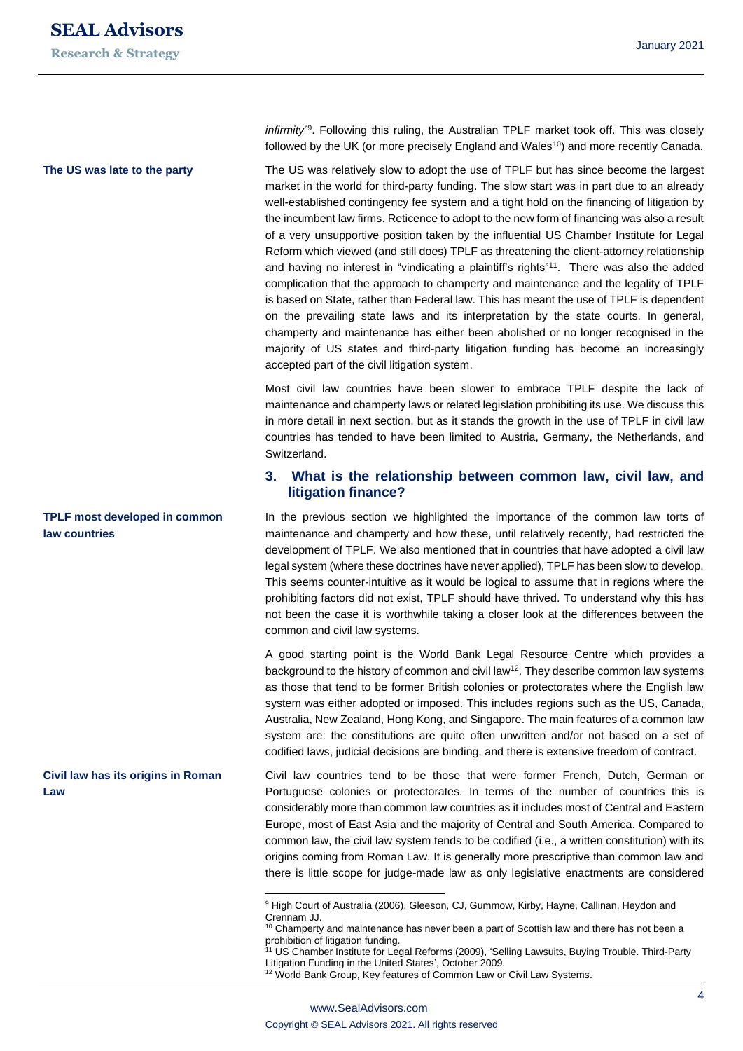#### **The US was late to the party**

**TPLF most developed in common law countries**

**Civil law has its origins in Roman Law**

infirmity<sup>"9</sup>. Following this ruling, the Australian TPLF market took off. This was closely followed by the UK (or more precisely England and Wales<sup>10</sup>) and more recently Canada.

The US was relatively slow to adopt the use of TPLF but has since become the largest market in the world for third-party funding. The slow start was in part due to an already well-established contingency fee system and a tight hold on the financing of litigation by the incumbent law firms. Reticence to adopt to the new form of financing was also a result of a very unsupportive position taken by the influential US Chamber Institute for Legal Reform which viewed (and still does) TPLF as threatening the client-attorney relationship and having no interest in "vindicating a plaintiff's rights"<sup>11</sup> . There was also the added complication that the approach to champerty and maintenance and the legality of TPLF is based on State, rather than Federal law. This has meant the use of TPLF is dependent on the prevailing state laws and its interpretation by the state courts. In general, champerty and maintenance has either been abolished or no longer recognised in the majority of US states and third-party litigation funding has become an increasingly accepted part of the civil litigation system.

Most civil law countries have been slower to embrace TPLF despite the lack of maintenance and champerty laws or related legislation prohibiting its use. We discuss this in more detail in next section, but as it stands the growth in the use of TPLF in civil law countries has tended to have been limited to Austria, Germany, the Netherlands, and Switzerland.

#### **3. What is the relationship between common law, civil law, and litigation finance?**

In the previous section we highlighted the importance of the common law torts of maintenance and champerty and how these, until relatively recently, had restricted the development of TPLF. We also mentioned that in countries that have adopted a civil law legal system (where these doctrines have never applied), TPLF has been slow to develop. This seems counter-intuitive as it would be logical to assume that in regions where the prohibiting factors did not exist, TPLF should have thrived. To understand why this has not been the case it is worthwhile taking a closer look at the differences between the common and civil law systems.

A good starting point is the World Bank Legal Resource Centre which provides a background to the history of common and civil  $\text{law}^{\{12\}}$ . They describe common law systems as those that tend to be former British colonies or protectorates where the English law system was either adopted or imposed. This includes regions such as the US, Canada, Australia, New Zealand, Hong Kong, and Singapore. The main features of a common law system are: the constitutions are quite often unwritten and/or not based on a set of codified laws, judicial decisions are binding, and there is extensive freedom of contract.

Civil law countries tend to be those that were former French, Dutch, German or Portuguese colonies or protectorates. In terms of the number of countries this is considerably more than common law countries as it includes most of Central and Eastern Europe, most of East Asia and the majority of Central and South America. Compared to common law, the civil law system tends to be codified (i.e., a written constitution) with its origins coming from Roman Law. It is generally more prescriptive than common law and there is little scope for judge-made law as only legislative enactments are considered

<sup>&</sup>lt;sup>9</sup> High Court of Australia (2006), Gleeson, CJ, Gummow, Kirby, Hayne, Callinan, Heydon and Crennam JJ.

<sup>&</sup>lt;sup>10</sup> Champerty and maintenance has never been a part of Scottish law and there has not been a prohibition of litigation funding.

<sup>&</sup>lt;sup>11</sup> US Chamber Institute for Legal Reforms (2009), 'Selling Lawsuits, Buying Trouble. Third-Party Litigation Funding in the United States', October 2009.

<sup>&</sup>lt;sup>12</sup> World Bank Group, Key features of Common Law or Civil Law Systems.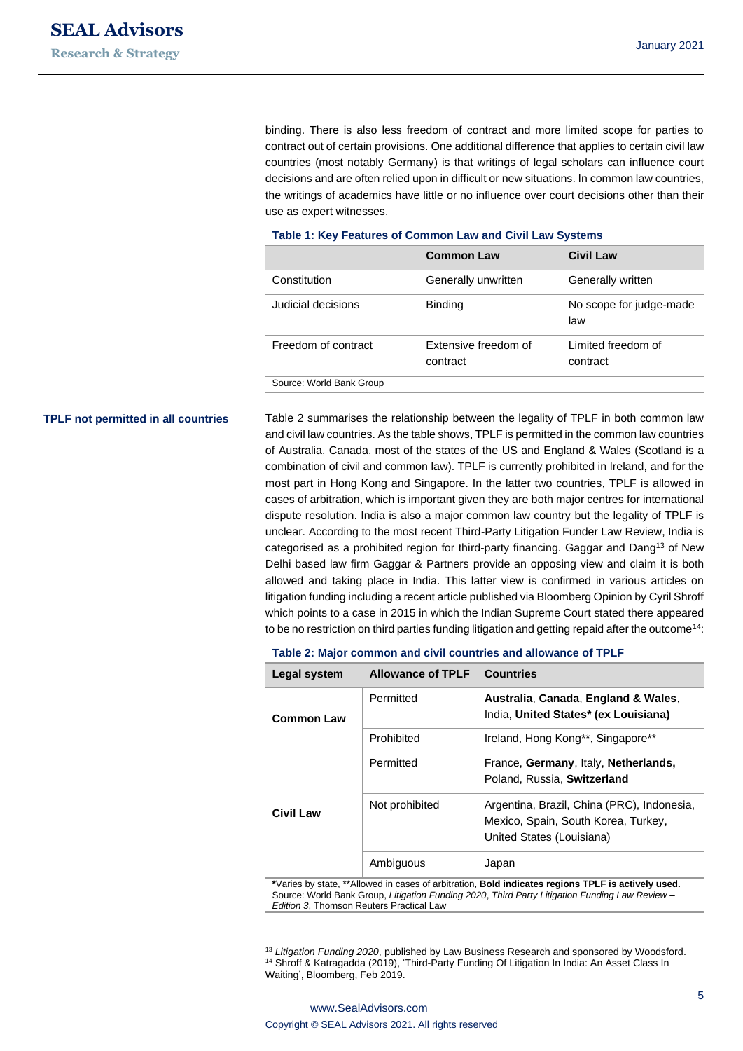binding. There is also less freedom of contract and more limited scope for parties to contract out of certain provisions. One additional difference that applies to certain civil law countries (most notably Germany) is that writings of legal scholars can influence court decisions and are often relied upon in difficult or new situations. In common law countries, the writings of academics have little or no influence over court decisions other than their use as expert witnesses.

| $14000$ $1.1001$ $1.04000$ of common Eatr and Civil Eatr Crownic |                                  |                                |  |  |
|------------------------------------------------------------------|----------------------------------|--------------------------------|--|--|
|                                                                  | <b>Common Law</b>                | <b>Civil Law</b>               |  |  |
| Constitution                                                     | Generally unwritten              | Generally written              |  |  |
| Judicial decisions                                               | <b>Binding</b>                   | No scope for judge-made<br>law |  |  |
| Freedom of contract                                              | Extensive freedom of<br>contract | Limited freedom of<br>contract |  |  |
| Source: World Bank Group                                         |                                  |                                |  |  |

#### **Table 1: Key Features of Common Law and Civil Law Systems**

#### **TPLF not permitted in all countries**

Table 2 summarises the relationship between the legality of TPLF in both common law and civil law countries. As the table shows, TPLF is permitted in the common law countries of Australia, Canada, most of the states of the US and England & Wales (Scotland is a combination of civil and common law). TPLF is currently prohibited in Ireland, and for the most part in Hong Kong and Singapore. In the latter two countries, TPLF is allowed in cases of arbitration, which is important given they are both major centres for international dispute resolution. India is also a major common law country but the legality of TPLF is unclear. According to the most recent Third-Party Litigation Funder Law Review, India is categorised as a prohibited region for third-party financing. Gaggar and Dang<sup>13</sup> of New Delhi based law firm Gaggar & Partners provide an opposing view and claim it is both allowed and taking place in India. This latter view is confirmed in various articles on litigation funding including a recent article published via Bloomberg Opinion by Cyril Shroff which points to a case in 2015 in which the Indian Supreme Court stated there appeared to be no restriction on third parties funding litigation and getting repaid after the outcome<sup>14</sup>:

#### **Table 2: Major common and civil countries and allowance of TPLF**

| Legal system     | <b>Allowance of TPLF</b> | <b>Countries</b>                                                                                               |
|------------------|--------------------------|----------------------------------------------------------------------------------------------------------------|
| Common Law       | Permitted                | Australia, Canada, England & Wales,<br>India, United States* (ex Louisiana)                                    |
|                  | Prohibited               | Ireland, Hong Kong**, Singapore**                                                                              |
| <b>Civil Law</b> | Permitted                | France, Germany, Italy, Netherlands,<br>Poland, Russia, Switzerland                                            |
|                  | Not prohibited           | Argentina, Brazil, China (PRC), Indonesia,<br>Mexico, Spain, South Korea, Turkey,<br>United States (Louisiana) |
|                  | Ambiguous                | Japan                                                                                                          |

**\***Varies by state, \*\*Allowed in cases of arbitration, **Bold indicates regions TPLF is actively used.** Source: World Bank Group, *Litigation Funding 2020*, *Third Party Litigation Funding Law Review – Edition 3*, Thomson Reuters Practical Law

<sup>13</sup> *Litigation Funding 2020*, published by Law Business Research and sponsored by Woodsford. <sup>14</sup> Shroff & Katragadda (2019), 'Third-Party Funding Of Litigation In India: An Asset Class In [Waiting',](https://www.bloombergquint.com/opinion/third-party-funding-of-litigation-in-india-an-asset-class-in-waiting) Bloomberg, Feb 2019.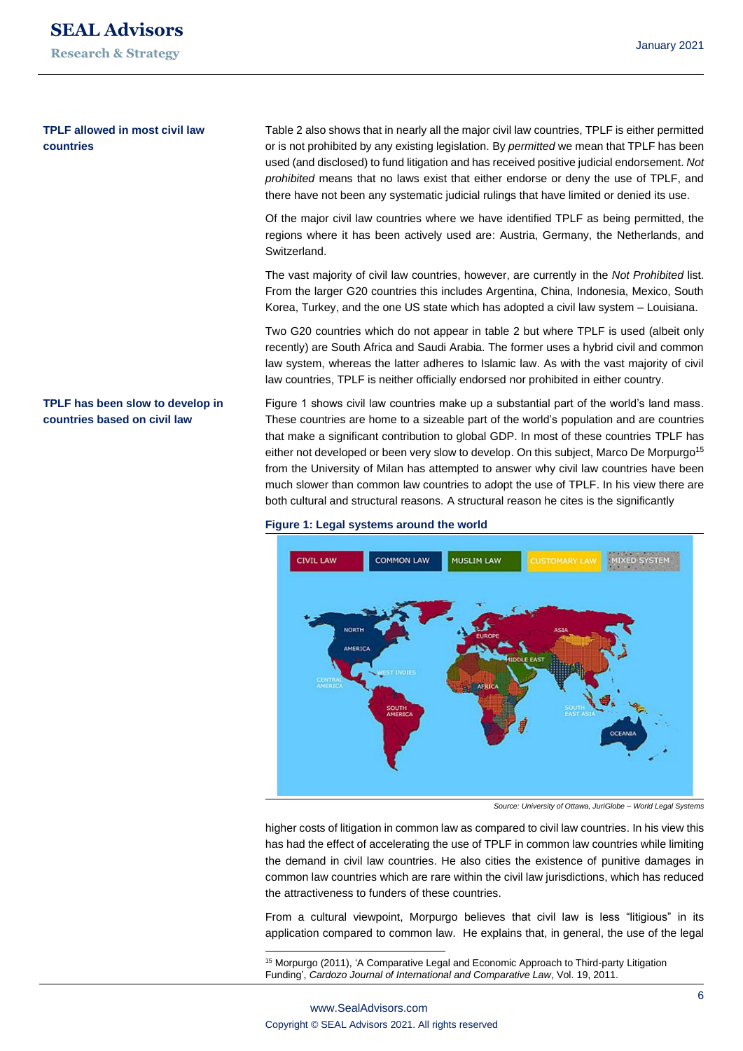#### **TPLF allowed in most civil law countries**

**TPLF has been slow to develop in countries based on civil law**

Table 2 also shows that in nearly all the major civil law countries, TPLF is either permitted or is not prohibited by any existing legislation. By *permitted* we mean that TPLF has been used (and disclosed) to fund litigation and has received positive judicial endorsement. *Not prohibited* means that no laws exist that either endorse or deny the use of TPLF, and there have not been any systematic judicial rulings that have limited or denied its use.

Of the major civil law countries where we have identified TPLF as being permitted, the regions where it has been actively used are: Austria, Germany, the Netherlands, and Switzerland.

The vast majority of civil law countries, however, are currently in the *Not Prohibited* list. From the larger G20 countries this includes Argentina, China, Indonesia, Mexico, South Korea, Turkey, and the one US state which has adopted a civil law system – Louisiana.

Two G20 countries which do not appear in table 2 but where TPLF is used (albeit only recently) are South Africa and Saudi Arabia. The former uses a hybrid civil and common law system, whereas the latter adheres to Islamic law. As with the vast majority of civil law countries, TPLF is neither officially endorsed nor prohibited in either country.

Figure 1 shows civil law countries make up a substantial part of the world's land mass. These countries are home to a sizeable part of the world's population and are countries that make a significant contribution to global GDP. In most of these countries TPLF has either not developed or been very slow to develop. On this subject, Marco De Morpurgo<sup>15</sup> from the University of Milan has attempted to answer why civil law countries have been much slower than common law countries to adopt the use of TPLF. In his view there are both cultural and structural reasons. A structural reason he cites is the significantly

#### **Figure 1: Legal systems around the world**



*Source: University of Ottawa, JuriGlobe – World Legal Systems*

higher costs of litigation in common law as compared to civil law countries. In his view this has had the effect of accelerating the use of TPLF in common law countries while limiting the demand in civil law countries. He also cities the existence of punitive damages in common law countries which are rare within the civil law jurisdictions, which has reduced the attractiveness to funders of these countries.

From a cultural viewpoint, Morpurgo believes that civil law is less "litigious" in its application compared to common law. He explains that, in general, the use of the legal

<sup>15</sup> Morpurgo (2011), 'A Comparative Legal and Economic Approach to Third-party Litigation Funding', *Cardozo Journal of International and Comparative Law*, Vol. 19, 2011.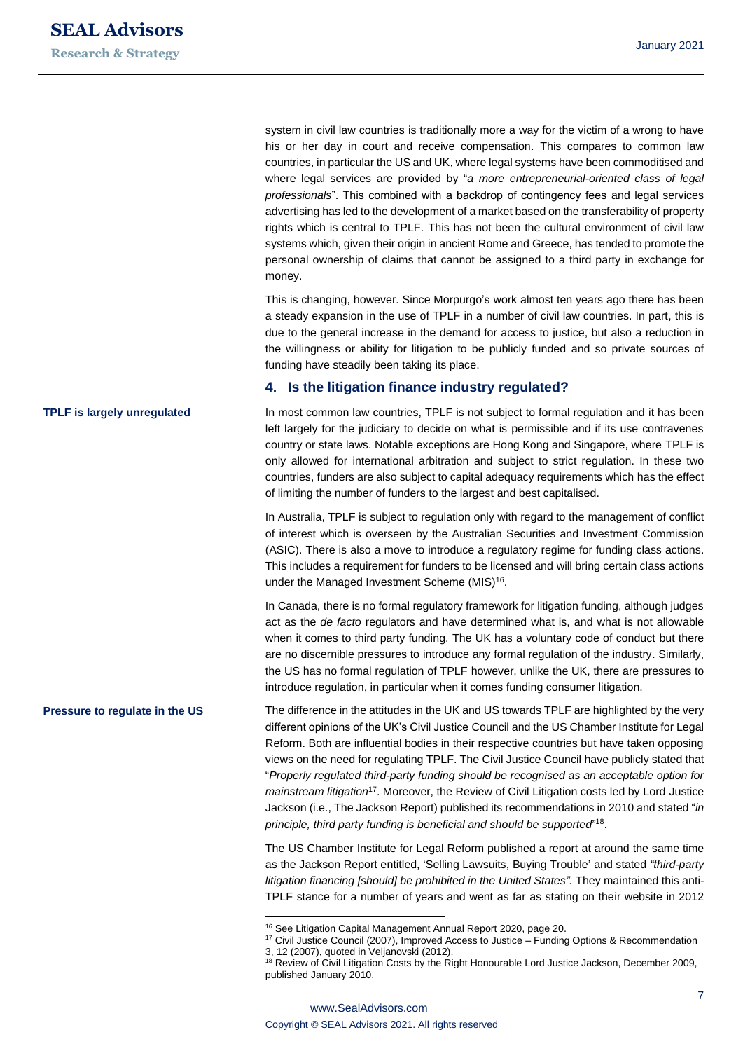system in civil law countries is traditionally more a way for the victim of a wrong to have his or her day in court and receive compensation. This compares to common law countries, in particular the US and UK, where legal systems have been commoditised and where legal services are provided by "*a more entrepreneurial-oriented class of legal professionals*". This combined with a backdrop of contingency fees and legal services advertising has led to the development of a market based on the transferability of property rights which is central to TPLF. This has not been the cultural environment of civil law systems which, given their origin in ancient Rome and Greece, has tended to promote the personal ownership of claims that cannot be assigned to a third party in exchange for money.

This is changing, however. Since Morpurgo's work almost ten years ago there has been a steady expansion in the use of TPLF in a number of civil law countries. In part, this is due to the general increase in the demand for access to justice, but also a reduction in the willingness or ability for litigation to be publicly funded and so private sources of funding have steadily been taking its place.

#### **4. Is the litigation finance industry regulated?**

In most common law countries, TPLF is not subject to formal regulation and it has been left largely for the judiciary to decide on what is permissible and if its use contravenes country or state laws. Notable exceptions are Hong Kong and Singapore, where TPLF is only allowed for international arbitration and subject to strict regulation. In these two countries, funders are also subject to capital adequacy requirements which has the effect of limiting the number of funders to the largest and best capitalised.

In Australia, TPLF is subject to regulation only with regard to the management of conflict of interest which is overseen by the Australian Securities and Investment Commission (ASIC). There is also a move to introduce a regulatory regime for funding class actions. This includes a requirement for funders to be licensed and will bring certain class actions under the Managed Investment Scheme (MIS)<sup>16</sup>.

In Canada, there is no formal regulatory framework for litigation funding, although judges act as the *de facto* regulators and have determined what is, and what is not allowable when it comes to third party funding. The UK has a voluntary code of conduct but there are no discernible pressures to introduce any formal regulation of the industry. Similarly, the US has no formal regulation of TPLF however, unlike the UK, there are pressures to introduce regulation, in particular when it comes funding consumer litigation.

The difference in the attitudes in the UK and US towards TPLF are highlighted by the very different opinions of the UK's Civil Justice Council and the US Chamber Institute for Legal Reform. Both are influential bodies in their respective countries but have taken opposing views on the need for regulating TPLF. The Civil Justice Council have publicly stated that "*Properly regulated third-party funding should be recognised as an acceptable option for mainstream litigation*<sup>17</sup>. Moreover, the Review of Civil Litigation costs led by Lord Justice Jackson (i.e., The Jackson Report) published its recommendations in 2010 and stated "*in principle, third party funding is beneficial and should be supported*" 18 .

The US Chamber Institute for Legal Reform published a report at around the same time as the Jackson Report entitled, 'Selling Lawsuits, Buying Trouble' and stated *"third-party litigation financing [should] be prohibited in the United States".* They maintained this anti-TPLF stance for a number of years and went as far as stating on their website in 2012

### **TPLF is largely unregulated**

**Pressure to regulate in the US**

<sup>16</sup> See Litigation Capital Management Annual Report 2020, page 20.

<sup>&</sup>lt;sup>17</sup> Civil Justice Council (2007), Improved Access to Justice – Funding Options & Recommendation 3, 12 (2007), quoted in Veljanovski (2012).

<sup>&</sup>lt;sup>18</sup> Review of Civil Litigation Costs by the Right Honourable Lord Justice Jackson, December 2009, published January 2010.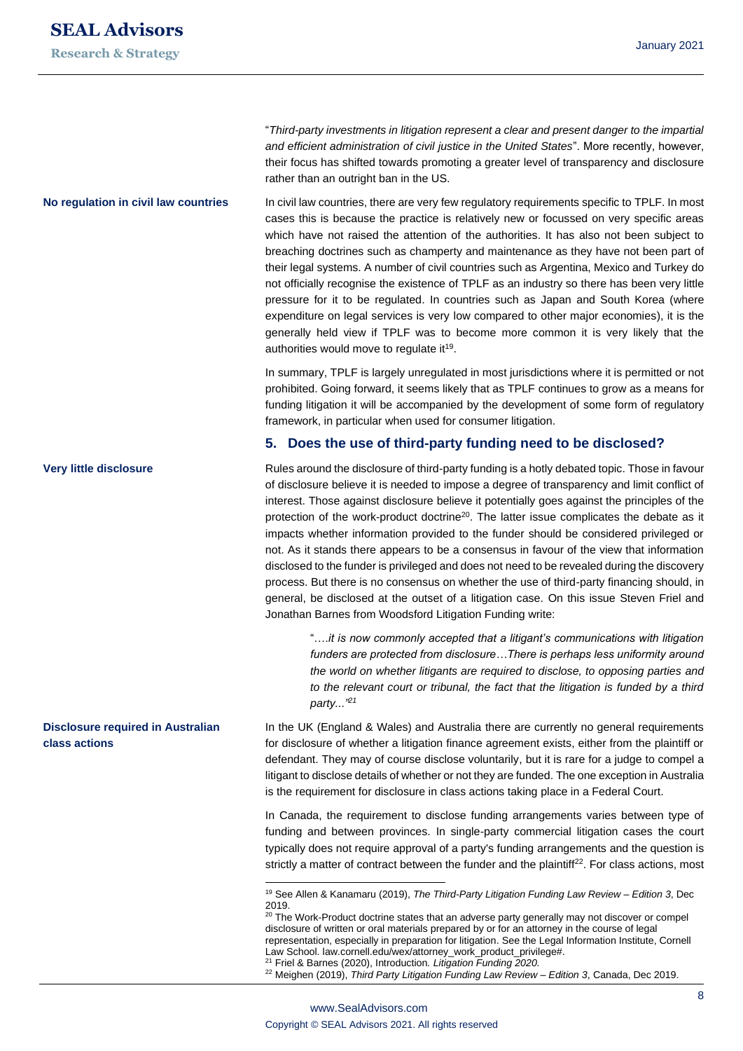**Research & Strategy**

"*Third-party investments in litigation represent a clear and present danger to the impartial and efficient administration of civil justice in the United States*". More recently, however, their focus has shifted towards promoting a greater level of transparency and disclosure rather than an outright ban in the US.

In civil law countries, there are very few regulatory requirements specific to TPLF. In most cases this is because the practice is relatively new or focussed on very specific areas which have not raised the attention of the authorities. It has also not been subject to breaching doctrines such as champerty and maintenance as they have not been part of their legal systems. A number of civil countries such as Argentina, Mexico and Turkey do not officially recognise the existence of TPLF as an industry so there has been very little pressure for it to be regulated. In countries such as Japan and South Korea (where expenditure on legal services is very low compared to other major economies), it is the generally held view if TPLF was to become more common it is very likely that the authorities would move to regulate it<sup>19</sup>. **No regulation in civil law countries**

> In summary, TPLF is largely unregulated in most jurisdictions where it is permitted or not prohibited. Going forward, it seems likely that as TPLF continues to grow as a means for funding litigation it will be accompanied by the development of some form of regulatory framework, in particular when used for consumer litigation.

#### **5. Does the use of third-party funding need to be disclosed?**

Rules around the disclosure of third-party funding is a hotly debated topic. Those in favour of disclosure believe it is needed to impose a degree of transparency and limit conflict of interest. Those against disclosure believe it potentially goes against the principles of the protection of the work-product doctrine<sup>20</sup>. The latter issue complicates the debate as it impacts whether information provided to the funder should be considered privileged or not. As it stands there appears to be a consensus in favour of the view that information disclosed to the funder is privileged and does not need to be revealed during the discovery process. But there is no consensus on whether the use of third-party financing should, in general, be disclosed at the outset of a litigation case. On this issue Steven Friel and Jonathan Barnes from Woodsford Litigation Funding write:

"….*it is now commonly accepted that a litigant's communications with litigation funders are protected from disclosure…There is perhaps less uniformity around the world on whether litigants are required to disclose, to opposing parties and to the relevant court or tribunal, the fact that the litigation is funded by a third party..."<sup>21</sup>*

In the UK (England & Wales) and Australia there are currently no general requirements for disclosure of whether a litigation finance agreement exists, either from the plaintiff or defendant. They may of course disclose voluntarily, but it is rare for a judge to compel a litigant to disclose details of whether or not they are funded. The one exception in Australia is the requirement for disclosure in class actions taking place in a Federal Court.

In Canada, the requirement to disclose funding arrangements varies between type of funding and between provinces. In single-party commercial litigation cases the court typically does not require approval of a party's funding arrangements and the question is strictly a matter of contract between the funder and the plaintiff $2^2$ . For class actions, most

 $20$  The Work-Product doctrine states that an adverse party generally may not discover or compel disclosure of written or oral materials prepared by or for an attorney in the course of legal representation, especially in preparation for litigation. See the Legal Information Institute, Cornell Law School. law.cornell.edu/wex/attorney\_work\_product\_privilege#. <sup>21</sup> Friel & Barnes (2020), Introduction*. Litigation Funding 2020.*

<sup>22</sup> Meighen (2019), *Third Party Litigation Funding Law Review* – *Edition 3*, Canada, Dec 2019.

**Very little disclosure**

#### **Disclosure required in Australian class actions**

<sup>19</sup> See Allen & Kanamaru (2019), *The Third-Party Litigation Funding Law Review – Edition 3*, Dec 2019.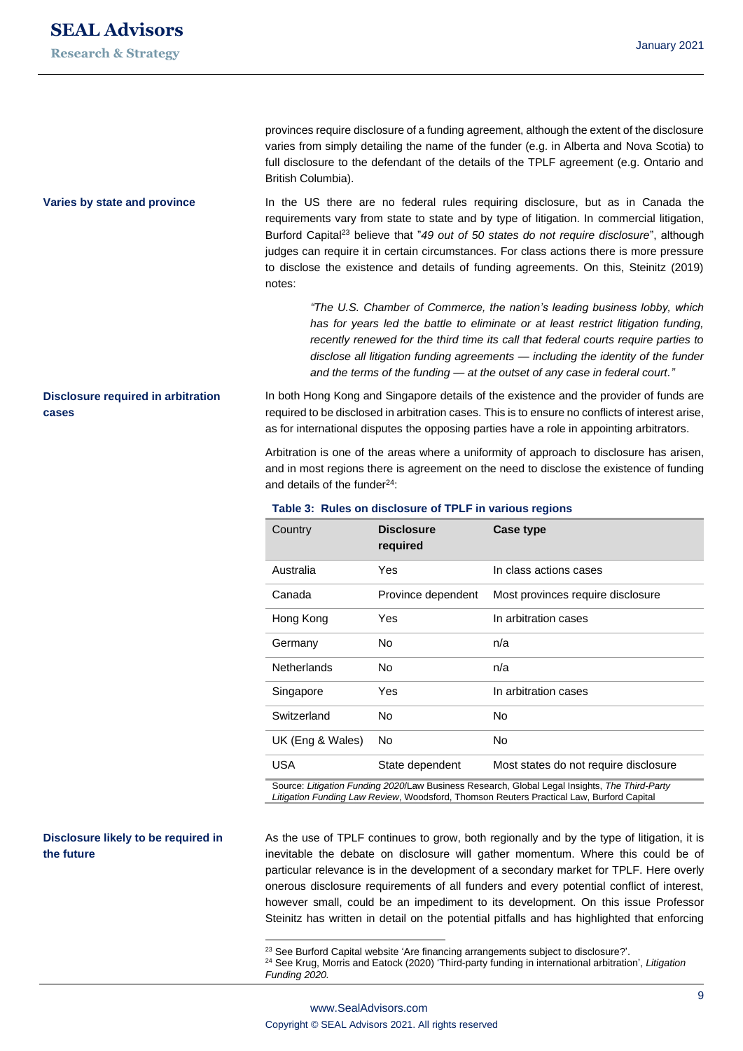# **SEAL Advisors**

#### **Research & Strategy**

provinces require disclosure of a funding agreement, although the extent of the disclosure varies from simply detailing the name of the funder (e.g. in Alberta and Nova Scotia) to full disclosure to the defendant of the details of the TPLF agreement (e.g. Ontario and British Columbia).

In the US there are no federal rules requiring disclosure, but as in Canada the requirements vary from state to state and by type of litigation. In commercial litigation, Burford Capital<sup>23</sup> believe that "*49 out of 50 states do not require disclosure*", although judges can require it in certain circumstances. For class actions there is more pressure to disclose the existence and details of funding agreements. On this, Steinitz (2019) notes: **Varies by state and province**

> *"The U.S. Chamber of Commerce, the nation's leading business lobby, which has for years led the battle to eliminate or at least restrict litigation funding, recently renewed for the third time its call that federal courts require parties to disclose all litigation funding agreements — including the identity of the funder and the terms of the funding — at the outset of any case in federal court."*

# **Disclosure required in arbitration cases**

In both Hong Kong and Singapore details of the existence and the provider of funds are required to be disclosed in arbitration cases. This is to ensure no conflicts of interest arise, as for international disputes the opposing parties have a role in appointing arbitrators.

Arbitration is one of the areas where a uniformity of approach to disclosure has arisen, and in most regions there is agreement on the need to disclose the existence of funding and details of the funder $24$ :

| <b>Disclosure</b><br>required | Case type                             |
|-------------------------------|---------------------------------------|
| Yes                           | In class actions cases                |
| Province dependent            | Most provinces require disclosure     |
| Yes                           | In arbitration cases                  |
| No                            | n/a                                   |
| No.                           | n/a                                   |
| Yes                           | In arbitration cases                  |
| No                            | No                                    |
| No                            | No                                    |
| State dependent               | Most states do not require disclosure |
|                               |                                       |

#### **Table 3: Rules on disclosure of TPLF in various regions**

Source: *Litigation Funding 2020*/Law Business Research, Global Legal Insights, *The Third-Party Litigation Funding Law Review*, Woodsford, Thomson Reuters Practical Law, Burford Capital

#### **Disclosure likely to be required in the future**

As the use of TPLF continues to grow, both regionally and by the type of litigation, it is inevitable the debate on disclosure will gather momentum. Where this could be of particular relevance is in the development of a secondary market for TPLF. Here overly onerous disclosure requirements of all funders and every potential conflict of interest, however small, could be an impediment to its development. On this issue Professor Steinitz has written in detail on the potential pitfalls and has highlighted that enforcing

<sup>&</sup>lt;sup>23</sup> See Burford Capital website ['Are financing arrangements subject to disclosure?](https://www.burfordcapital.com/insights/insights-container/control-disclosure-privilege-champerty-and-other-legal-finance-ethics-questions-answered/)'.

<sup>24</sup> See Krug, Morris and Eatock (2020) 'Third-party funding in international arbitration', *Litigation Funding 2020.*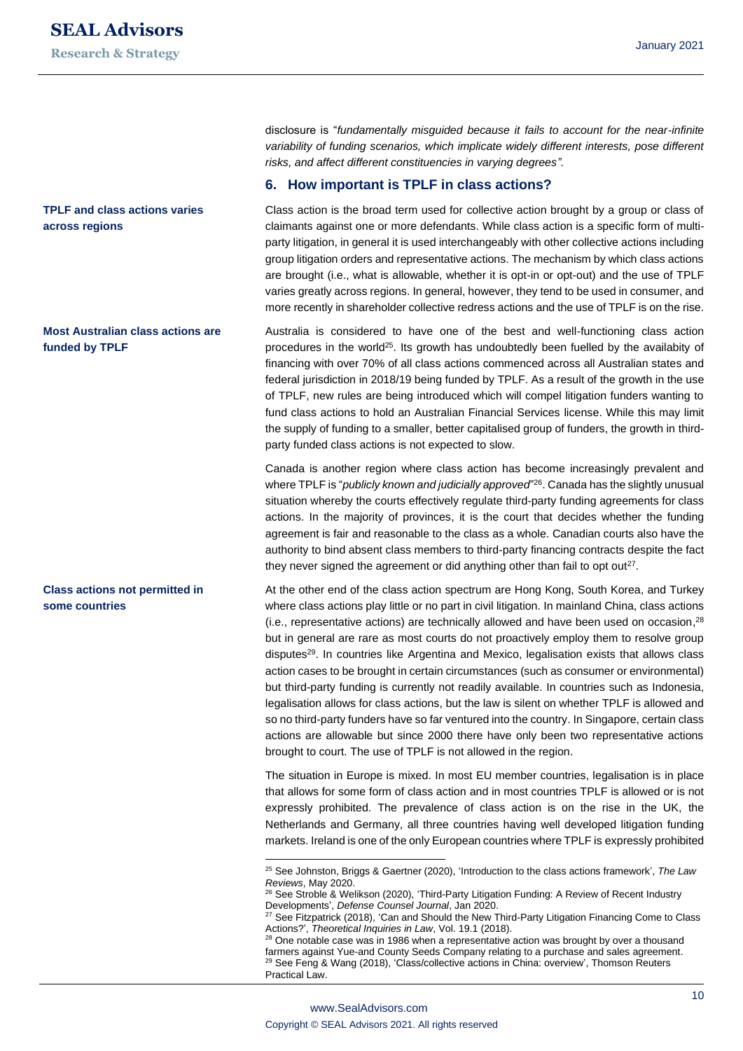**TPLF and class actions varies** 

**Most Australian class actions are** 

**Class actions not permitted in** 

**some countries**

**across regions**

**funded by TPLF**

disclosure is "*fundamentally misguided because it fails to account for the near-infinite variability of funding scenarios, which implicate widely different interests, pose different risks, and affect different constituencies in varying degrees".* 

#### **6. How important is TPLF in class actions?**

Class action is the broad term used for collective action brought by a group or class of claimants against one or more defendants. While class action is a specific form of multiparty litigation, in general it is used interchangeably with other collective actions including group litigation orders and representative actions. The mechanism by which class actions are brought (i.e., what is allowable, whether it is opt-in or opt-out) and the use of TPLF varies greatly across regions. In general, however, they tend to be used in consumer, and more recently in shareholder collective redress actions and the use of TPLF is on the rise.

Australia is considered to have one of the best and well-functioning class action procedures in the world<sup>25</sup>. Its growth has undoubtedly been fuelled by the availabity of financing with over 70% of all class actions commenced across all Australian states and federal jurisdiction in 2018/19 being funded by TPLF. As a result of the growth in the use of TPLF, new rules are being introduced which will compel litigation funders wanting to fund class actions to hold an Australian Financial Services license. While this may limit the supply of funding to a smaller, better capitalised group of funders, the growth in thirdparty funded class actions is not expected to slow.

Canada is another region where class action has become increasingly prevalent and where TPLF is "*publicly known and judicially approved*" <sup>26</sup>. Canada has the slightly unusual situation whereby the courts effectively regulate third-party funding agreements for class actions. In the majority of provinces, it is the court that decides whether the funding agreement is fair and reasonable to the class as a whole. Canadian courts also have the authority to bind absent class members to third-party financing contracts despite the fact they never signed the agreement or did anything other than fail to opt out<sup>27</sup>.

At the other end of the class action spectrum are Hong Kong, South Korea, and Turkey where class actions play little or no part in civil litigation. In mainland China, class actions  $(i.e.,$  representative actions) are technically allowed and have been used on occasion, $^{28}$ but in general are rare as most courts do not proactively employ them to resolve group disputes<sup>29</sup>. In countries like Argentina and Mexico, legalisation exists that allows class action cases to be brought in certain circumstances (such as consumer or environmental) but third-party funding is currently not readily available. In countries such as Indonesia, legalisation allows for class actions, but the law is silent on whether TPLF is allowed and so no third-party funders have so far ventured into the country. In Singapore, certain class actions are allowable but since 2000 there have only been two representative actions brought to court. The use of TPLF is not allowed in the region.

The situation in Europe is mixed. In most EU member countries, legalisation is in place that allows for some form of class action and in most countries TPLF is allowed or is not expressly prohibited. The prevalence of class action is on the rise in the UK, the Netherlands and Germany, all three countries having well developed litigation funding markets. Ireland is one of the only European countries where TPLF is expressly prohibited

<sup>25</sup> See Johnston, Briggs & Gaertner (2020), 'Introduction to the class actions framework', *The Law Reviews*, May 2020.

<sup>26</sup> See Stroble & Welikson (2020), 'Third-Party Litigation Funding: A Review of Recent Industry Developments', *Defense Counsel Journal*, Jan 2020.

<sup>&</sup>lt;sup>27</sup> See Fitzpatrick (2018), 'Can and Should the New Third-Party Litigation Financing Come to Class Actions?', *Theoretical Inquiries in Law*, Vol. 19.1 (2018).

<sup>&</sup>lt;sup>28</sup> One notable case was in 1986 when a representative action was brought by over a thousand farmers against Yue-and County Seeds Company relating to a purchase and sales agreement. <sup>29</sup> See Feng & Wang (2018), 'Class/collective actions in China: overview', Thomson Reuters Practical Law.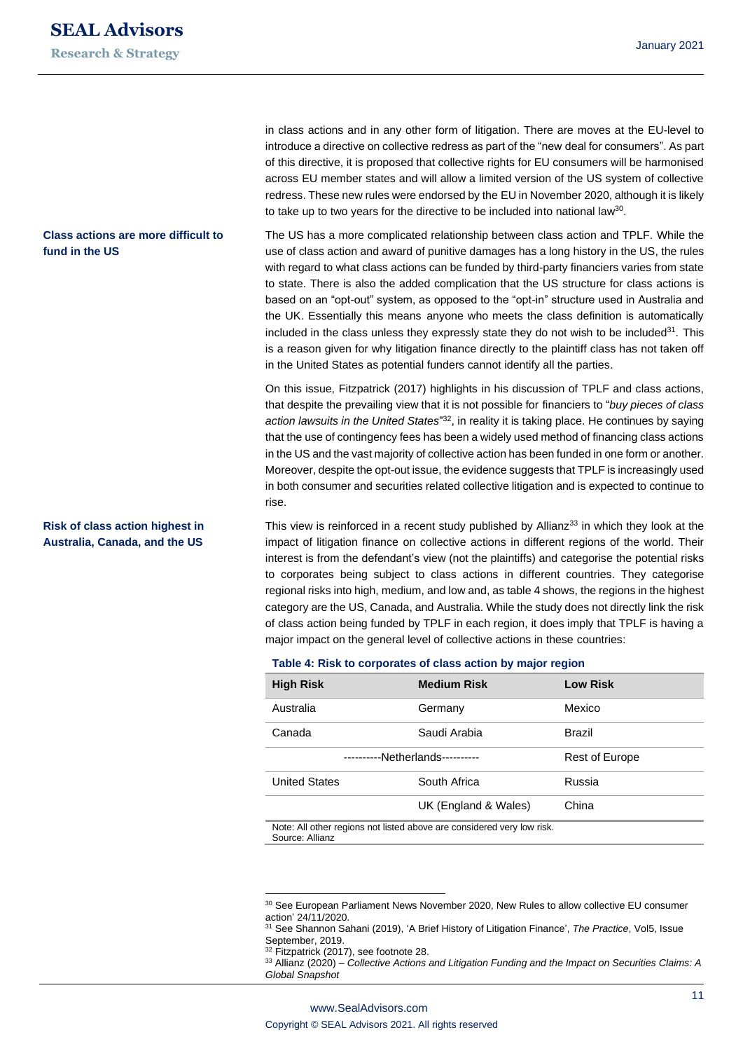**Research & Strategy**

#### **Class actions are more difficult to fund in the US**

#### **Risk of class action highest in Australia, Canada, and the US**

in class actions and in any other form of litigation. There are moves at the EU-level to introduce a directive on collective redress as part of the "new deal for consumers". As part of this directive, it is proposed that collective rights for EU consumers will be harmonised across EU member states and will allow a limited version of the US system of collective redress. These new rules were endorsed by the EU in November 2020, although it is likely to take up to two years for the directive to be included into national law<sup>30</sup>.

The US has a more complicated relationship between class action and TPLF. While the use of class action and award of punitive damages has a long history in the US, the rules with regard to what class actions can be funded by third-party financiers varies from state to state. There is also the added complication that the US structure for class actions is based on an "opt-out" system, as opposed to the "opt-in" structure used in Australia and the UK. Essentially this means anyone who meets the class definition is automatically included in the class unless they expressly state they do not wish to be included $31$ . This is a reason given for why litigation finance directly to the plaintiff class has not taken off in the United States as potential funders cannot identify all the parties.

On this issue, Fitzpatrick (2017) highlights in his discussion of TPLF and class actions, that despite the prevailing view that it is not possible for financiers to "*buy pieces of class*  action lawsuits in the United States<sup>"32</sup>, in reality it is taking place. He continues by saying that the use of contingency fees has been a widely used method of financing class actions in the US and the vast majority of collective action has been funded in one form or another. Moreover, despite the opt-out issue, the evidence suggests that TPLF is increasingly used in both consumer and securities related collective litigation and is expected to continue to rise.

This view is reinforced in a recent study published by Allianz<sup>33</sup> in which they look at the impact of litigation finance on collective actions in different regions of the world. Their interest is from the defendant's view (not the plaintiffs) and categorise the potential risks to corporates being subject to class actions in different countries. They categorise regional risks into high, medium, and low and, as table 4 shows, the regions in the highest category are the US, Canada, and Australia. While the study does not directly link the risk of class action being funded by TPLF in each region, it does imply that TPLF is having a major impact on the general level of collective actions in these countries:

| <b>High Risk</b>                | <b>Medium Risk</b>   | <b>Low Risk</b>       |
|---------------------------------|----------------------|-----------------------|
| Australia                       | Germany              | Mexico                |
| Canada                          | Saudi Arabia         | <b>Brazil</b>         |
| ----------Netherlands---------- |                      | <b>Rest of Europe</b> |
| <b>United States</b>            | South Africa         | Russia                |
|                                 | UK (England & Wales) | China                 |

**Table 4: Risk to corporates of class action by major region**

Note: All other regions not listed above are considered very low risk. Source: Allianz

<sup>&</sup>lt;sup>30</sup> See European Parliament News November 2020, New Rules to allow collective EU consumer action' 24/11/2020.

<sup>31</sup> See Shannon Sahani (2019), 'A Brief History of Litigation Finance', *The Practice*, Vol5, Issue September, 2019.

<sup>&</sup>lt;sup>32</sup> Fitzpatrick (2017), see footnote 28.

<sup>33</sup> Allianz (2020) – *Collective Actions and Litigation Funding and the Impact on Securities Claims: A Global Snapshot*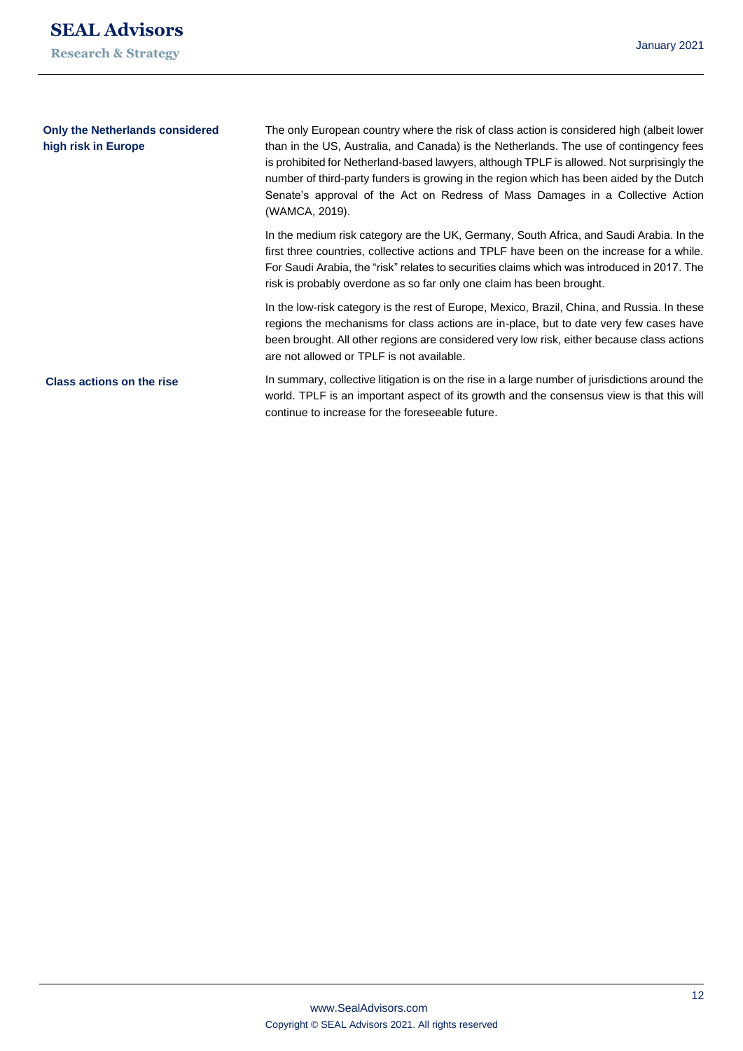| <b>Only the Netherlands considered</b><br>high risk in Europe | The only European country where the risk of class action is considered high (albeit lower<br>than in the US, Australia, and Canada) is the Netherlands. The use of contingency fees<br>is prohibited for Netherland-based lawyers, although TPLF is allowed. Not surprisingly the<br>number of third-party funders is growing in the region which has been aided by the Dutch<br>Senate's approval of the Act on Redress of Mass Damages in a Collective Action<br>(WAMCA, 2019). |
|---------------------------------------------------------------|-----------------------------------------------------------------------------------------------------------------------------------------------------------------------------------------------------------------------------------------------------------------------------------------------------------------------------------------------------------------------------------------------------------------------------------------------------------------------------------|
|                                                               | In the medium risk category are the UK, Germany, South Africa, and Saudi Arabia. In the<br>first three countries, collective actions and TPLF have been on the increase for a while.<br>For Saudi Arabia, the "risk" relates to securities claims which was introduced in 2017. The<br>risk is probably overdone as so far only one claim has been brought.                                                                                                                       |
|                                                               | In the low-risk category is the rest of Europe, Mexico, Brazil, China, and Russia. In these<br>regions the mechanisms for class actions are in-place, but to date very few cases have<br>been brought. All other regions are considered very low risk, either because class actions<br>are not allowed or TPLF is not available.                                                                                                                                                  |
| <b>Class actions on the rise</b>                              | In summary, collective litigation is on the rise in a large number of jurisdictions around the<br>world. TPLF is an important aspect of its growth and the consensus view is that this will<br>continue to increase for the foreseeable future.                                                                                                                                                                                                                                   |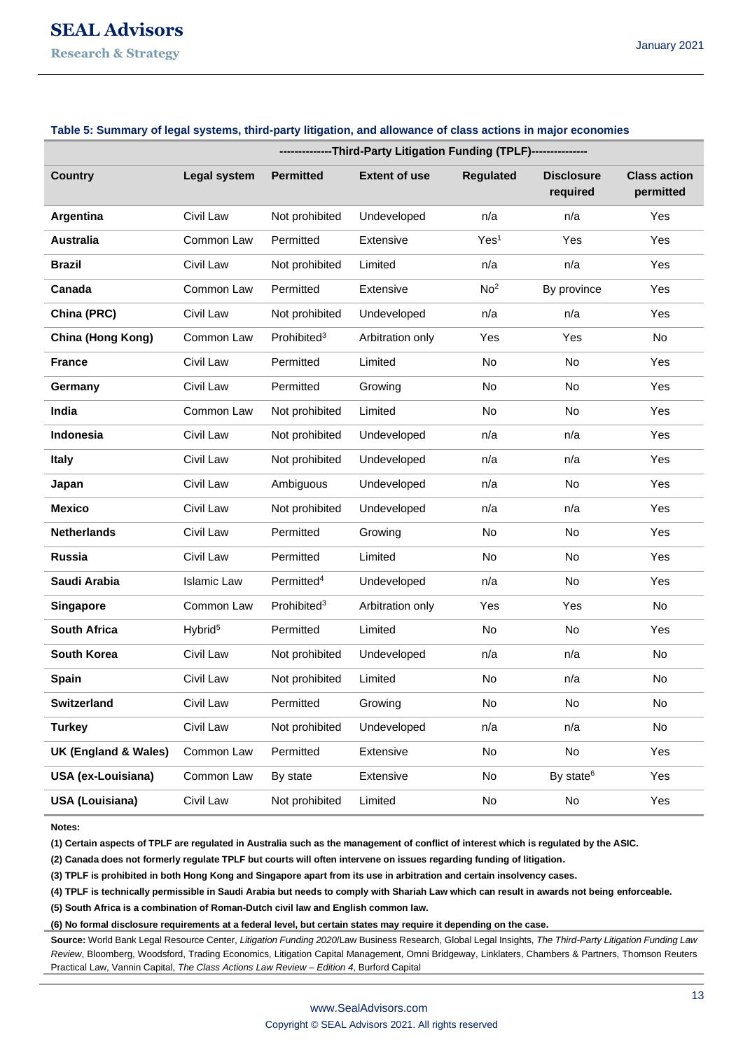# **SEAL Advisors Research & Strategy**

|                        | --------------Third-Party Litigation Funding (TPLF)--------------- |                         |                      |                  |                               |                                  |
|------------------------|--------------------------------------------------------------------|-------------------------|----------------------|------------------|-------------------------------|----------------------------------|
| <b>Country</b>         | Legal system                                                       | <b>Permitted</b>        | <b>Extent of use</b> | <b>Regulated</b> | <b>Disclosure</b><br>required | <b>Class action</b><br>permitted |
| Argentina              | Civil Law                                                          | Not prohibited          | Undeveloped          | n/a              | n/a                           | Yes                              |
| <b>Australia</b>       | Common Law                                                         | Permitted               | Extensive            | Yes <sup>1</sup> | Yes                           | Yes                              |
| <b>Brazil</b>          | Civil Law                                                          | Not prohibited          | Limited              | n/a              | n/a                           | Yes                              |
| Canada                 | Common Law                                                         | Permitted               | Extensive            | No <sup>2</sup>  | By province                   | Yes                              |
| China (PRC)            | Civil Law                                                          | Not prohibited          | Undeveloped          | n/a              | n/a                           | Yes                              |
| China (Hong Kong)      | Common Law                                                         | Problem <sup>3</sup>    | Arbitration only     | Yes              | Yes                           | No                               |
| <b>France</b>          | Civil Law                                                          | Permitted               | Limited              | No               | No                            | Yes                              |
| Germany                | Civil Law                                                          | Permitted               | Growing              | No               | No                            | Yes                              |
| India                  | Common Law                                                         | Not prohibited          | Limited              | No               | No                            | Yes                              |
| <b>Indonesia</b>       | Civil Law                                                          | Not prohibited          | Undeveloped          | n/a              | n/a                           | Yes                              |
| <b>Italy</b>           | Civil Law                                                          | Not prohibited          | Undeveloped          | n/a              | n/a                           | Yes                              |
| Japan                  | Civil Law                                                          | Ambiguous               | Undeveloped          | n/a              | No                            | Yes                              |
| <b>Mexico</b>          | Civil Law                                                          | Not prohibited          | Undeveloped          | n/a              | n/a                           | Yes                              |
| <b>Netherlands</b>     | Civil Law                                                          | Permitted               | Growing              | No               | No                            | Yes                              |
| <b>Russia</b>          | Civil Law                                                          | Permitted               | Limited              | No               | No                            | Yes                              |
| Saudi Arabia           | <b>Islamic Law</b>                                                 | Permitted <sup>4</sup>  | Undeveloped          | n/a              | No                            | Yes                              |
| <b>Singapore</b>       | Common Law                                                         | Prohibited <sup>3</sup> | Arbitration only     | Yes              | Yes                           | No                               |
| <b>South Africa</b>    | Hybrid <sup>5</sup>                                                | Permitted               | Limited              | No               | No                            | Yes                              |
| South Korea            | Civil Law                                                          | Not prohibited          | Undeveloped          | n/a              | n/a                           | No                               |
| <b>Spain</b>           | Civil Law                                                          | Not prohibited          | Limited              | No               | n/a                           | No                               |
| <b>Switzerland</b>     | Civil Law                                                          | Permitted               | Growing              | No               | No                            | No                               |
| <b>Turkey</b>          | Civil Law                                                          | Not prohibited          | Undeveloped          | n/a              | n/a                           | No                               |
| UK (England & Wales)   | Common Law                                                         | Permitted               | Extensive            | No               | No                            | Yes                              |
| USA (ex-Louisiana)     | Common Law                                                         | By state                | Extensive            | No               | By state <sup>6</sup>         | Yes                              |
| <b>USA (Louisiana)</b> | Civil Law                                                          | Not prohibited          | Limited              | No               | No                            | Yes                              |

#### **Table 5: Summary of legal systems, third-party litigation, and allowance of class actions in major economies**

**Notes:**

**(1) Certain aspects of TPLF are regulated in Australia such as the management of conflict of interest which is regulated by the ASIC.**

**(2) Canada does not formerly regulate TPLF but courts will often intervene on issues regarding funding of litigation.**

**(3) TPLF is prohibited in both Hong Kong and Singapore apart from its use in arbitration and certain insolvency cases.**

**(4) TPLF is technically permissible in Saudi Arabia but needs to comply with Shariah Law which can result in awards not being enforceable.**

**(5) South Africa is a combination of Roman-Dutch civil law and English common law.**

**(6) No formal disclosure requirements at a federal level, but certain states may require it depending on the case.**

**Source:** World Bank Legal Resource Center, *Litigation Funding 2020*/Law Business Research, Global Legal Insights, *The Third-Party Litigation Funding Law Review*, Bloomberg, Woodsford, Trading Economics, Litigation Capital Management, Omni Bridgeway, Linklaters, Chambers & Partners, Thomson Reuters Practical Law, Vannin Capital, *The Class Actions Law Review – Edition 4*, Burford Capital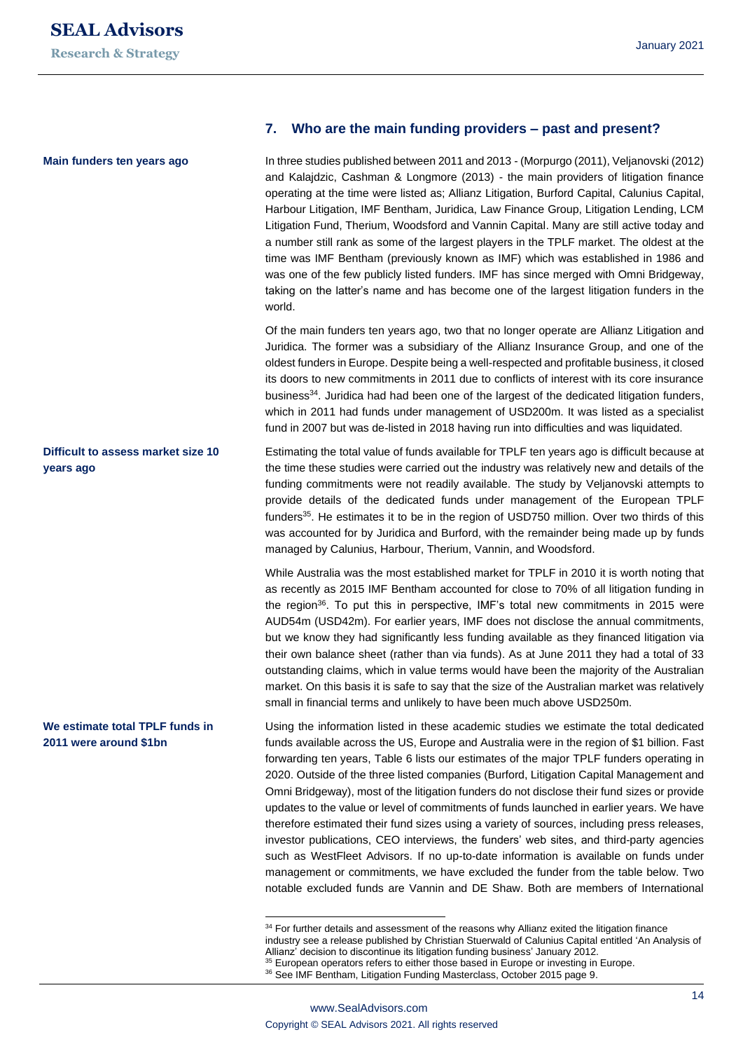**Main funders ten years ago**

#### **Difficult to assess market size 10 years ago**

#### **We estimate total TPLF funds in 2011 were around \$1bn**

#### **7. Who are the main funding providers – past and present?**

In three studies published between 2011 and 2013 - (Morpurgo (2011), Veljanovski (2012) and Kalajdzic, Cashman & Longmore (2013) - the main providers of litigation finance operating at the time were listed as; Allianz Litigation, Burford Capital, Calunius Capital, Harbour Litigation, IMF Bentham, Juridica, Law Finance Group, Litigation Lending, LCM Litigation Fund, Therium, Woodsford and Vannin Capital. Many are still active today and a number still rank as some of the largest players in the TPLF market. The oldest at the time was IMF Bentham (previously known as IMF) which was established in 1986 and was one of the few publicly listed funders. IMF has since merged with Omni Bridgeway, taking on the latter's name and has become one of the largest litigation funders in the world.

Of the main funders ten years ago, two that no longer operate are Allianz Litigation and Juridica. The former was a subsidiary of the Allianz Insurance Group, and one of the oldest funders in Europe. Despite being a well-respected and profitable business, it closed its doors to new commitments in 2011 due to conflicts of interest with its core insurance business<sup>34</sup>. Juridica had had been one of the largest of the dedicated litigation funders, which in 2011 had funds under management of USD200m. It was listed as a specialist fund in 2007 but was de-listed in 2018 having run into difficulties and was liquidated.

Estimating the total value of funds available for TPLF ten years ago is difficult because at the time these studies were carried out the industry was relatively new and details of the funding commitments were not readily available. The study by Veljanovski attempts to provide details of the dedicated funds under management of the European TPLF funders<sup>35</sup>. He estimates it to be in the region of USD750 million. Over two thirds of this was accounted for by Juridica and Burford, with the remainder being made up by funds managed by Calunius, Harbour, Therium, Vannin, and Woodsford.

While Australia was the most established market for TPLF in 2010 it is worth noting that as recently as 2015 IMF Bentham accounted for close to 70% of all litigation funding in the region<sup>36</sup>. To put this in perspective, IMF's total new commitments in 2015 were AUD54m (USD42m). For earlier years, IMF does not disclose the annual commitments, but we know they had significantly less funding available as they financed litigation via their own balance sheet (rather than via funds). As at June 2011 they had a total of 33 outstanding claims, which in value terms would have been the majority of the Australian market. On this basis it is safe to say that the size of the Australian market was relatively small in financial terms and unlikely to have been much above USD250m.

Using the information listed in these academic studies we estimate the total dedicated funds available across the US, Europe and Australia were in the region of \$1 billion. Fast forwarding ten years, Table 6 lists our estimates of the major TPLF funders operating in 2020. Outside of the three listed companies (Burford, Litigation Capital Management and Omni Bridgeway), most of the litigation funders do not disclose their fund sizes or provide updates to the value or level of commitments of funds launched in earlier years. We have therefore estimated their fund sizes using a variety of sources, including press releases, investor publications, CEO interviews, the funders' web sites, and third-party agencies such as WestFleet Advisors. If no up-to-date information is available on funds under management or commitments, we have excluded the funder from the table below. Two notable excluded funds are Vannin and DE Shaw. Both are members of International

<sup>&</sup>lt;sup>34</sup> For further details and assessment of the reasons why Allianz exited the litigation finance industry see a release published by Christian Stuerwald of Calunius Capital entitled 'An Analysis of Allianz' decision to discontinue its litigation funding business' January 2012. <sup>35</sup> European operators refers to either those based in Europe or investing in Europe.

<sup>&</sup>lt;sup>36</sup> See IMF Bentham, Litigation Funding Masterclass, October 2015 page 9.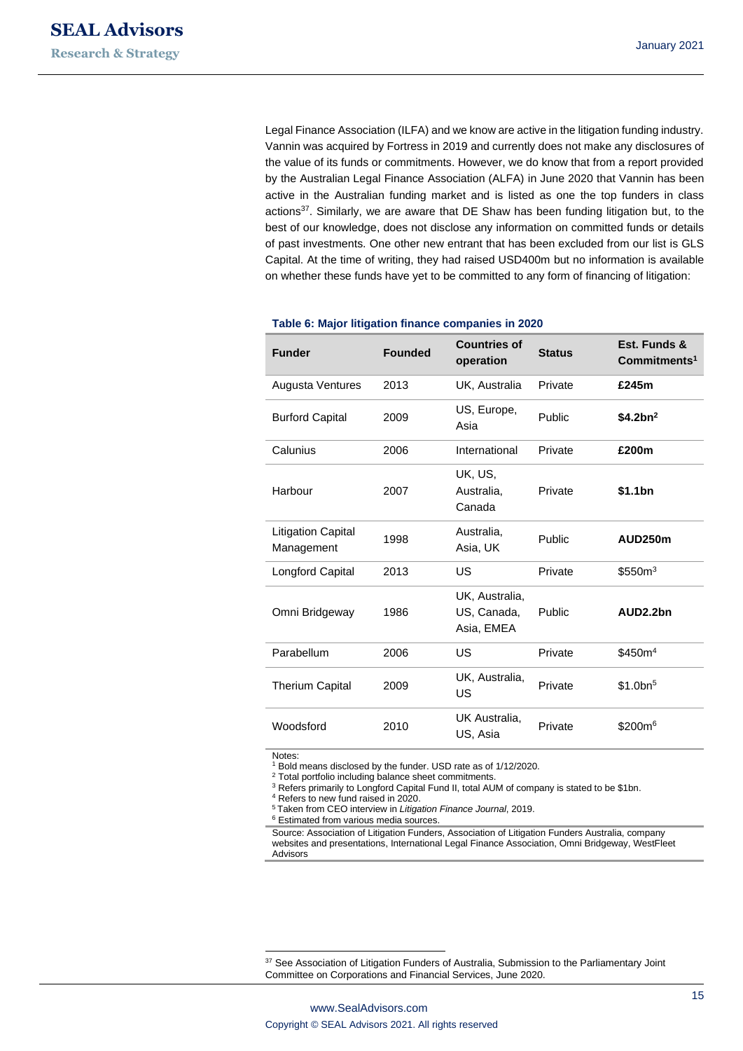Legal Finance Association (ILFA) and we know are active in the litigation funding industry. Vannin was acquired by Fortress in 2019 and currently does not make any disclosures of the value of its funds or commitments. However, we do know that from a report provided by the Australian Legal Finance Association (ALFA) in June 2020 that Vannin has been active in the Australian funding market and is listed as one the top funders in class actions<sup>37</sup>. Similarly, we are aware that DE Shaw has been funding litigation but, to the best of our knowledge, does not disclose any information on committed funds or details of past investments. One other new entrant that has been excluded from our list is GLS Capital. At the time of writing, they had raised USD400m but no information is available on whether these funds have yet to be committed to any form of financing of litigation:

| <b>Funder</b>                           | <b>Founded</b> | <b>Countries of</b><br>operation            | <b>Status</b> | Est. Funds &<br>Commitments <sup>1</sup> |
|-----------------------------------------|----------------|---------------------------------------------|---------------|------------------------------------------|
| Augusta Ventures                        | 2013           | UK, Australia                               | Private       | £245m                                    |
| <b>Burford Capital</b>                  | 2009           | US, Europe,<br>Asia                         | Public        | \$4.2bn <sup>2</sup>                     |
| Calunius                                | 2006           | International                               | Private       | £200m                                    |
| Harbour                                 | 2007           | UK, US,<br>Australia,<br>Canada             | Private       | \$1.1bn                                  |
| <b>Litigation Capital</b><br>Management | 1998           | Australia,<br>Asia, UK                      | Public        | AUD250m                                  |
| Longford Capital                        | 2013           | US                                          | Private       | \$550m <sup>3</sup>                      |
| Omni Bridgeway                          | 1986           | UK, Australia,<br>US, Canada,<br>Asia, EMEA | Public        | AUD2.2bn                                 |
| Parabellum                              | 2006           | US                                          | Private       | \$450m <sup>4</sup>                      |
| <b>Therium Capital</b>                  | 2009           | UK, Australia,<br>US                        | Private       | \$1.0bn <sup>5</sup>                     |
| Woodsford                               | 2010           | UK Australia,<br>US, Asia                   | Private       | \$200m <sup>6</sup>                      |

## **Table 6: Major litigation finance companies in 2020**

Notes:

<sup>1</sup> Bold means disclosed by the funder. USD rate as of 1/12/2020.

<sup>2</sup> Total portfolio including balance sheet commitments.

<sup>3</sup> Refers primarily to Longford Capital Fund II, total AUM of company is stated to be \$1bn.

<sup>4</sup> Refers to new fund raised in 2020.

<sup>5</sup> Taken from CEO interview in *Litigation Finance Journal*, 2019.

<sup>6</sup> Estimated from various media sources.

Source: Association of Litigation Funders, Association of Litigation Funders Australia, company websites and presentations, International Legal Finance Association, Omni Bridgeway, WestFleet Advisors

<sup>&</sup>lt;sup>37</sup> See Association of Litigation Funders of Australia, Submission to the Parliamentary Joint Committee on Corporations and Financial Services, June 2020.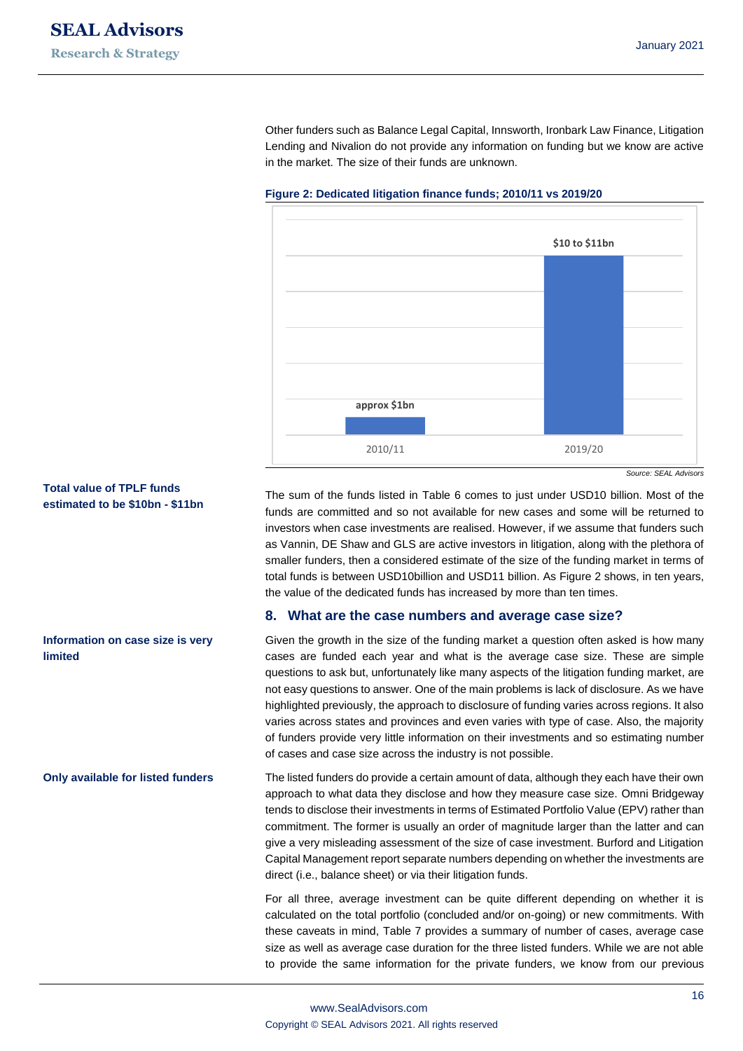Other funders such as Balance Legal Capital, Innsworth, Ironbark Law Finance, Litigation Lending and Nivalion do not provide any information on funding but we know are active in the market. The size of their funds are unknown.



#### **Figure 2: Dedicated litigation finance funds; 2010/11 vs 2019/20**

*Source: SEAL Advisors*

The sum of the funds listed in Table 6 comes to just under USD10 billion. Most of the funds are committed and so not available for new cases and some will be returned to investors when case investments are realised. However, if we assume that funders such as Vannin, DE Shaw and GLS are active investors in litigation, along with the plethora of smaller funders, then a considered estimate of the size of the funding market in terms of total funds is between USD10billion and USD11 billion. As Figure 2 shows, in ten years, the value of the dedicated funds has increased by more than ten times.

#### **8. What are the case numbers and average case size?**

Given the growth in the size of the funding market a question often asked is how many cases are funded each year and what is the average case size. These are simple questions to ask but, unfortunately like many aspects of the litigation funding market, are not easy questions to answer. One of the main problems is lack of disclosure. As we have highlighted previously, the approach to disclosure of funding varies across regions. It also varies across states and provinces and even varies with type of case. Also, the majority of funders provide very little information on their investments and so estimating number of cases and case size across the industry is not possible.

The listed funders do provide a certain amount of data, although they each have their own approach to what data they disclose and how they measure case size. Omni Bridgeway tends to disclose their investments in terms of Estimated Portfolio Value (EPV) rather than commitment. The former is usually an order of magnitude larger than the latter and can give a very misleading assessment of the size of case investment. Burford and Litigation Capital Management report separate numbers depending on whether the investments are direct (i.e., balance sheet) or via their litigation funds.

For all three, average investment can be quite different depending on whether it is calculated on the total portfolio (concluded and/or on-going) or new commitments. With these caveats in mind, Table 7 provides a summary of number of cases, average case size as well as average case duration for the three listed funders. While we are not able to provide the same information for the private funders, we know from our previous

#### **Total value of TPLF funds estimated to be \$10bn - \$11bn**

**Information on case size is very limited**

#### **Only available for listed funders**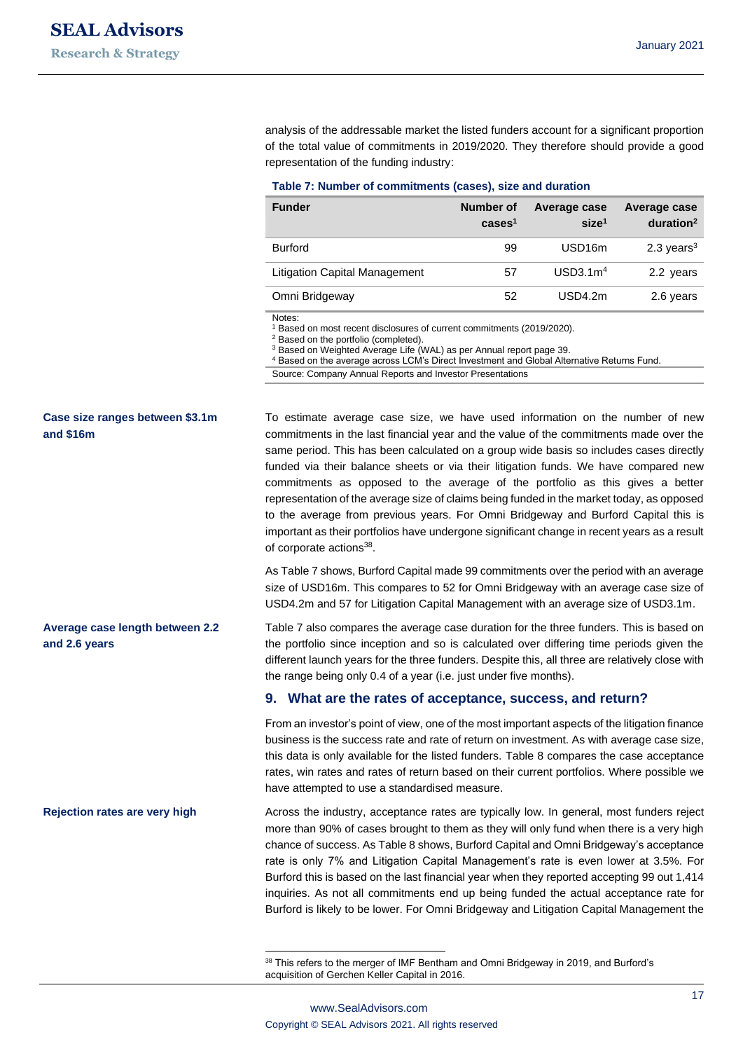analysis of the addressable market the listed funders account for a significant proportion of the total value of commitments in 2019/2020. They therefore should provide a good representation of the funding industry:

#### **Table 7: Number of commitments (cases), size and duration**

| <b>Funder</b>                        | Number of<br>cases <sup>1</sup> | Average case<br>size <sup>1</sup> | Average case<br>duration <sup>2</sup> |
|--------------------------------------|---------------------------------|-----------------------------------|---------------------------------------|
| <b>Burford</b>                       | 99                              | USD <sub>16</sub> m               | 2.3 years $3$                         |
| <b>Litigation Capital Management</b> | 57                              | USD3.1m <sup>4</sup>              | 2.2 years                             |
| Omni Bridgeway                       | 52                              | USD4.2m                           | 2.6 years                             |

Notes:

Based on most recent disclosures of current commitments (2019/2020).

<sup>2</sup> Based on the portfolio (completed).

<sup>3</sup> Based on Weighted Average Life (WAL) as per Annual report page 39.

<sup>4</sup> Based on the average across LCM's Direct Investment and Global Alternative Returns Fund.

Source: Company Annual Reports and Investor Presentations

To estimate average case size, we have used information on the number of new commitments in the last financial year and the value of the commitments made over the same period. This has been calculated on a group wide basis so includes cases directly funded via their balance sheets or via their litigation funds. We have compared new commitments as opposed to the average of the portfolio as this gives a better representation of the average size of claims being funded in the market today, as opposed to the average from previous years. For Omni Bridgeway and Burford Capital this is important as their portfolios have undergone significant change in recent years as a result of corporate actions<sup>38</sup>.

As Table 7 shows, Burford Capital made 99 commitments over the period with an average size of USD16m. This compares to 52 for Omni Bridgeway with an average case size of USD4.2m and 57 for Litigation Capital Management with an average size of USD3.1m.

Table 7 also compares the average case duration for the three funders. This is based on the portfolio since inception and so is calculated over differing time periods given the different launch years for the three funders. Despite this, all three are relatively close with the range being only 0.4 of a year (i.e. just under five months).

#### **9. What are the rates of acceptance, success, and return?**

From an investor's point of view, one of the most important aspects of the litigation finance business is the success rate and rate of return on investment. As with average case size, this data is only available for the listed funders. Table 8 compares the case acceptance rates, win rates and rates of return based on their current portfolios. Where possible we have attempted to use a standardised measure.

Across the industry, acceptance rates are typically low. In general, most funders reject more than 90% of cases brought to them as they will only fund when there is a very high chance of success. As Table 8 shows, Burford Capital and Omni Bridgeway's acceptance rate is only 7% and Litigation Capital Management's rate is even lower at 3.5%. For Burford this is based on the last financial year when they reported accepting 99 out 1,414 inquiries. As not all commitments end up being funded the actual acceptance rate for Burford is likely to be lower. For Omni Bridgeway and Litigation Capital Management the

### **Case size ranges between \$3.1m and \$16m**

#### **Average case length between 2.2 and 2.6 years**

#### **Rejection rates are very high**

<sup>38</sup> This refers to the merger of IMF Bentham and Omni Bridgeway in 2019, and Burford's acquisition of Gerchen Keller Capital in 2016.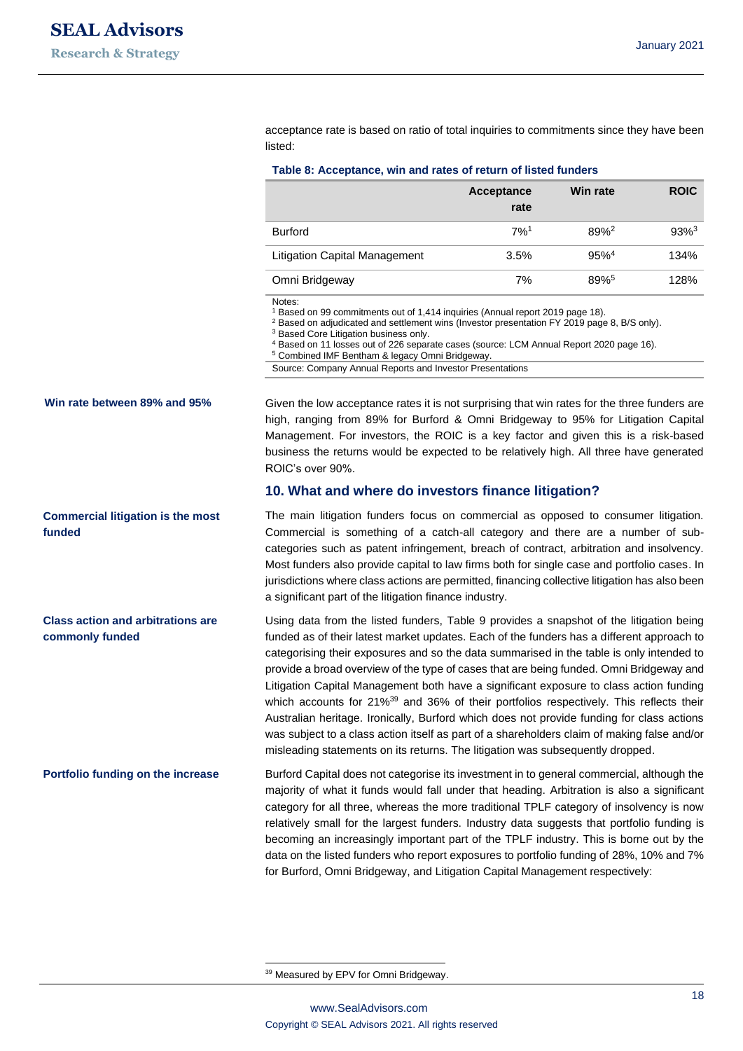acceptance rate is based on ratio of total inquiries to commitments since they have been listed:

|                                      | Acceptance<br>rate | Win rate            | <b>ROIC</b> |
|--------------------------------------|--------------------|---------------------|-------------|
| <b>Burford</b>                       | 7%1                | $89%^2$             | $93%^{3}$   |
| <b>Litigation Capital Management</b> | 3.5%               | $95\%$ <sup>4</sup> | 134%        |
| Omni Bridgeway                       | 7%                 | 89%                 | 128%        |

Notes:

<sup>1</sup> Based on 99 commitments out of 1,414 inquiries (Annual report 2019 page 18).

<sup>2</sup> Based on adjudicated and settlement wins (Investor presentation FY 2019 page 8, B/S only).

<sup>3</sup> Based Core Litigation business only.

<sup>5</sup> Combined IMF Bentham & legacy Omni Bridgeway.

Source: Company Annual Reports and Investor Presentations

**Win rate between 89% and 95%**

**Commercial litigation is the most funded**

**Class action and arbitrations are commonly funded**

**Portfolio funding on the increase**

Given the low acceptance rates it is not surprising that win rates for the three funders are high, ranging from 89% for Burford & Omni Bridgeway to 95% for Litigation Capital Management. For investors, the ROIC is a key factor and given this is a risk-based business the returns would be expected to be relatively high. All three have generated ROIC's over 90%.

#### **10. What and where do investors finance litigation?**

The main litigation funders focus on commercial as opposed to consumer litigation. Commercial is something of a catch-all category and there are a number of subcategories such as patent infringement, breach of contract, arbitration and insolvency. Most funders also provide capital to law firms both for single case and portfolio cases. In jurisdictions where class actions are permitted, financing collective litigation has also been a significant part of the litigation finance industry.

Using data from the listed funders, Table 9 provides a snapshot of the litigation being funded as of their latest market updates. Each of the funders has a different approach to categorising their exposures and so the data summarised in the table is only intended to provide a broad overview of the type of cases that are being funded. Omni Bridgeway and Litigation Capital Management both have a significant exposure to class action funding which accounts for 21%<sup>39</sup> and 36% of their portfolios respectively. This reflects their Australian heritage. Ironically, Burford which does not provide funding for class actions was subject to a class action itself as part of a shareholders claim of making false and/or misleading statements on its returns. The litigation was subsequently dropped.

Burford Capital does not categorise its investment in to general commercial, although the majority of what it funds would fall under that heading. Arbitration is also a significant category for all three, whereas the more traditional TPLF category of insolvency is now relatively small for the largest funders. Industry data suggests that portfolio funding is becoming an increasingly important part of the TPLF industry. This is borne out by the data on the listed funders who report exposures to portfolio funding of 28%, 10% and 7% for Burford, Omni Bridgeway, and Litigation Capital Management respectively:

<sup>39</sup> Measured by EPV for Omni Bridgeway.

<sup>4</sup> Based on 11 losses out of 226 separate cases (source: LCM Annual Report 2020 page 16).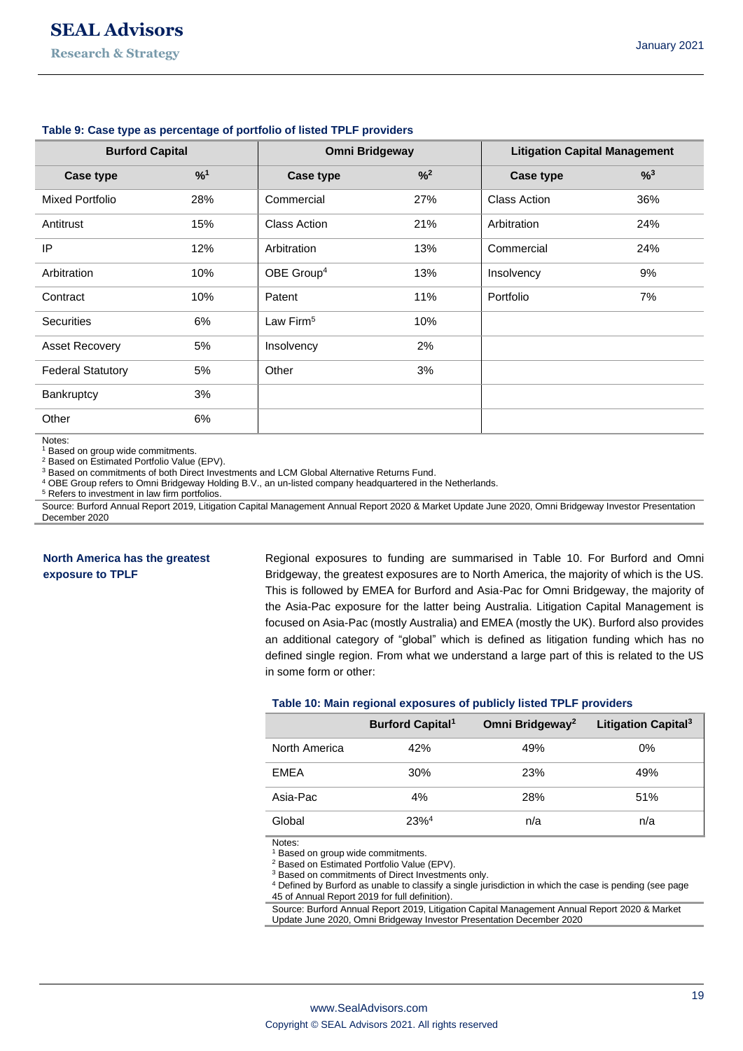| <b>Burford Capital</b>   |     | <b>Omni Bridgeway</b>  |                            | <b>Litigation Capital Management</b> |     |
|--------------------------|-----|------------------------|----------------------------|--------------------------------------|-----|
| Case type                | %1  | Case type              | $\frac{9}{6}$ <sup>2</sup> | Case type                            | %3  |
| <b>Mixed Portfolio</b>   | 28% | Commercial             | 27%                        | <b>Class Action</b>                  | 36% |
| Antitrust                | 15% | <b>Class Action</b>    | 21%                        | Arbitration                          | 24% |
| IP                       | 12% | Arbitration            | 13%                        | Commercial                           | 24% |
| Arbitration              | 10% | OBE Group <sup>4</sup> | 13%                        | Insolvency                           | 9%  |
| Contract                 | 10% | Patent                 | 11%                        | Portfolio                            | 7%  |
| <b>Securities</b>        | 6%  | Law Firm <sup>5</sup>  | 10%                        |                                      |     |
| Asset Recovery           | 5%  | Insolvency             | 2%                         |                                      |     |
| <b>Federal Statutory</b> | 5%  | Other                  | 3%                         |                                      |     |
| Bankruptcy               | 3%  |                        |                            |                                      |     |
| Other                    | 6%  |                        |                            |                                      |     |

#### **Table 9: Case type as percentage of portfolio of listed TPLF providers**

Notes:

<sup>1</sup> Based on group wide commitments.

<sup>2</sup> Based on Estimated Portfolio Value (EPV).

<sup>3</sup> Based on commitments of both Direct Investments and LCM Global Alternative Returns Fund.

<sup>4</sup> OBE Group refers to Omni Bridgeway Holding B.V., an un-listed company headquartered in the Netherlands.

<sup>5</sup> Refers to investment in law firm portfolios.

Source: Burford Annual Report 2019, Litigation Capital Management Annual Report 2020 & Market Update June 2020, Omni Bridgeway Investor Presentation December 2020

#### **North America has the greatest exposure to TPLF**

Regional exposures to funding are summarised in Table 10. For Burford and Omni Bridgeway, the greatest exposures are to North America, the majority of which is the US. This is followed by EMEA for Burford and Asia-Pac for Omni Bridgeway, the majority of the Asia-Pac exposure for the latter being Australia. Litigation Capital Management is focused on Asia-Pac (mostly Australia) and EMEA (mostly the UK). Burford also provides an additional category of "global" which is defined as litigation funding which has no defined single region. From what we understand a large part of this is related to the US in some form or other:

#### **Table 10: Main regional exposures of publicly listed TPLF providers**

|               | <b>Burford Capital</b> <sup>1</sup> | Omni Bridgeway <sup>2</sup> | Litigation Capital <sup>3</sup> |
|---------------|-------------------------------------|-----------------------------|---------------------------------|
| North America | 42%                                 | 49%                         | $0\%$                           |
| <b>FMFA</b>   | 30%                                 | 23%                         | 49%                             |
| Asia-Pac      | 4%                                  | 28%                         | 51%                             |
| Global        | $23%^{4}$                           | n/a                         | n/a                             |

Notes:

<sup>1</sup> Based on group wide commitments.

<sup>2</sup> Based on Estimated Portfolio Value (EPV).

<sup>3</sup> Based on commitments of Direct Investments only.

<sup>4</sup> Defined by Burford as unable to classify a single jurisdiction in which the case is pending (see page

45 of Annual Report 2019 for full definition).

Source: Burford Annual Report 2019, Litigation Capital Management Annual Report 2020 & Market Update June 2020, Omni Bridgeway Investor Presentation December 2020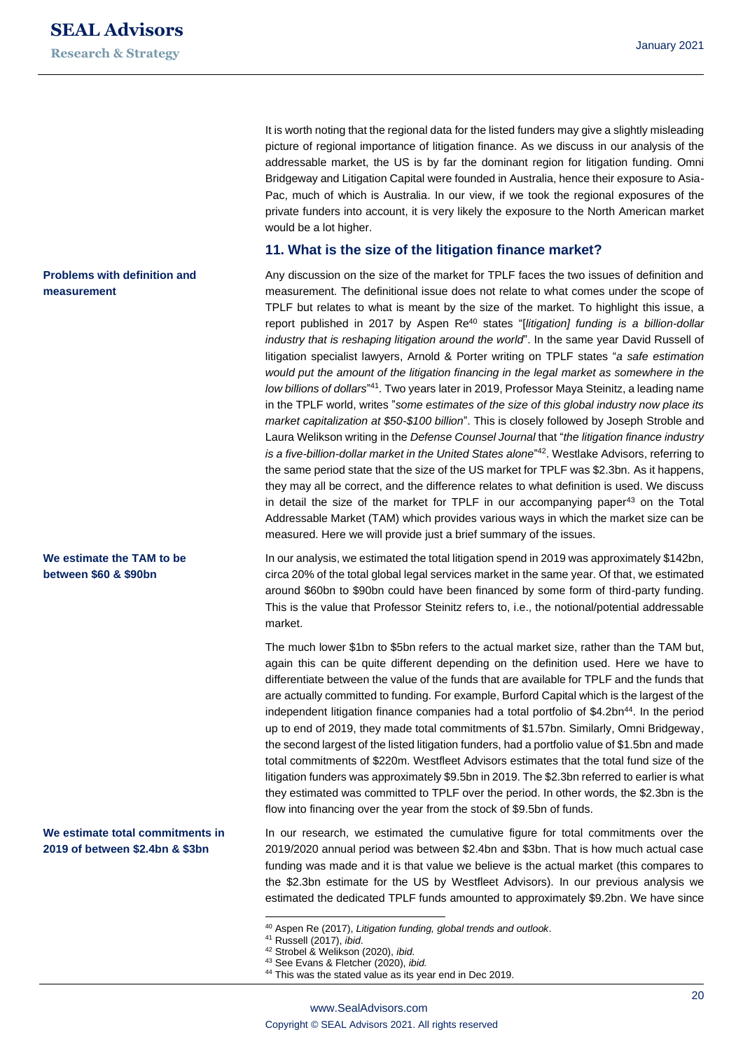It is worth noting that the regional data for the listed funders may give a slightly misleading picture of regional importance of litigation finance. As we discuss in our analysis of the addressable market, the US is by far the dominant region for litigation funding. Omni Bridgeway and Litigation Capital were founded in Australia, hence their exposure to Asia-Pac, much of which is Australia. In our view, if we took the regional exposures of the private funders into account, it is very likely the exposure to the North American market would be a lot higher.

#### **11. What is the size of the litigation finance market?**

Any discussion on the size of the market for TPLF faces the two issues of definition and measurement. The definitional issue does not relate to what comes under the scope of TPLF but relates to what is meant by the size of the market. To highlight this issue, a report published in 2017 by Aspen Re<sup>40</sup> states "[*litigation] funding is a billion-dollar industry that is reshaping litigation around the world*". In the same year David Russell of litigation specialist lawyers, Arnold & Porter writing on TPLF states "*a safe estimation would put the amount of the litigation financing in the legal market as somewhere in the*  low billions of dollars<sup>"41</sup>. Two years later in 2019, Professor Maya Steinitz, a leading name in the TPLF world, writes "*some estimates of the size of this global industry now place its market capitalization at \$50-\$100 billion*". This is closely followed by Joseph Stroble and Laura Welikson writing in the *Defense Counsel Journal* that "*the litigation finance industry*  is a five-billion-dollar market in the United States alone<sup>"42</sup>. Westlake Advisors, referring to the same period state that the size of the US market for TPLF was \$2.3bn. As it happens, they may all be correct, and the difference relates to what definition is used. We discuss in detail the size of the market for TPLF in our accompanying paper $43$  on the Total Addressable Market (TAM) which provides various ways in which the market size can be measured. Here we will provide just a brief summary of the issues.

In our analysis, we estimated the total litigation spend in 2019 was approximately \$142bn, circa 20% of the total global legal services market in the same year. Of that, we estimated around \$60bn to \$90bn could have been financed by some form of third-party funding. This is the value that Professor Steinitz refers to, i.e., the notional/potential addressable market.

The much lower \$1bn to \$5bn refers to the actual market size, rather than the TAM but, again this can be quite different depending on the definition used. Here we have to differentiate between the value of the funds that are available for TPLF and the funds that are actually committed to funding. For example, Burford Capital which is the largest of the independent litigation finance companies had a total portfolio of \$4.2bn<sup>44</sup>. In the period up to end of 2019, they made total commitments of \$1.57bn. Similarly, Omni Bridgeway, the second largest of the listed litigation funders, had a portfolio value of \$1.5bn and made total commitments of \$220m. Westfleet Advisors estimates that the total fund size of the litigation funders was approximately \$9.5bn in 2019. The \$2.3bn referred to earlier is what they estimated was committed to TPLF over the period. In other words, the \$2.3bn is the flow into financing over the year from the stock of \$9.5bn of funds.

In our research, we estimated the cumulative figure for total commitments over the 2019/2020 annual period was between \$2.4bn and \$3bn. That is how much actual case funding was made and it is that value we believe is the actual market (this compares to the \$2.3bn estimate for the US by Westfleet Advisors). In our previous analysis we estimated the dedicated TPLF funds amounted to approximately \$9.2bn. We have since

**Problems with definition and measurement**

#### **We estimate the TAM to be between \$60 & \$90bn**

**We estimate total commitments in 2019 of between \$2.4bn & \$3bn**

<sup>40</sup> Aspen Re (2017), *Litigation funding, global trends and outlook*.

<sup>41</sup> Russell (2017), *ibid*.

<sup>42</sup> Strobel & Welikson (2020), *ibid*.

<sup>43</sup> See Evans & Fletcher (2020), *ibid.*

<sup>44</sup> This was the stated value as its year end in Dec 2019.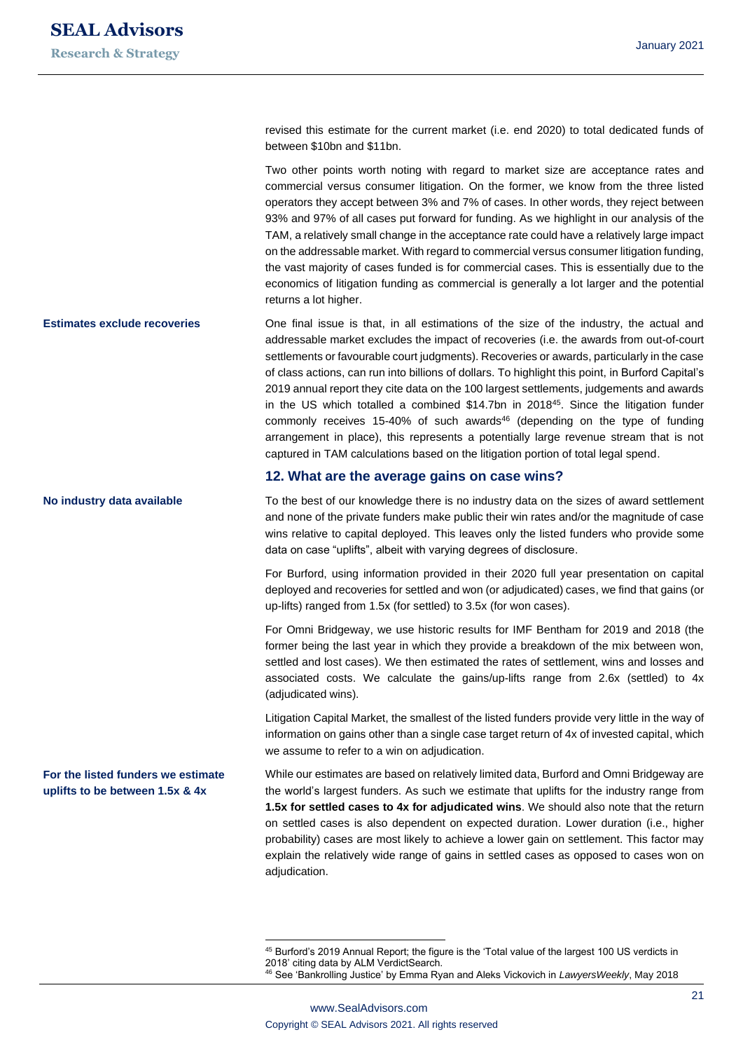**No industry data available**

**For the listed funders we estimate uplifts to be between 1.5x & 4x**

revised this estimate for the current market (i.e. end 2020) to total dedicated funds of between \$10bn and \$11bn.

Two other points worth noting with regard to market size are acceptance rates and commercial versus consumer litigation. On the former, we know from the three listed operators they accept between 3% and 7% of cases. In other words, they reject between 93% and 97% of all cases put forward for funding. As we highlight in our analysis of the TAM, a relatively small change in the acceptance rate could have a relatively large impact on the addressable market. With regard to commercial versus consumer litigation funding, the vast majority of cases funded is for commercial cases. This is essentially due to the economics of litigation funding as commercial is generally a lot larger and the potential returns a lot higher.

One final issue is that, in all estimations of the size of the industry, the actual and addressable market excludes the impact of recoveries (i.e. the awards from out-of-court settlements or favourable court judgments). Recoveries or awards, particularly in the case of class actions, can run into billions of dollars. To highlight this point, in Burford Capital's 2019 annual report they cite data on the 100 largest settlements, judgements and awards in the US which totalled a combined \$14.7bn in 2018<sup>45</sup>. Since the litigation funder commonly receives 15-40% of such awards $46$  (depending on the type of funding arrangement in place), this represents a potentially large revenue stream that is not captured in TAM calculations based on the litigation portion of total legal spend. **Estimates exclude recoveries**

#### **12. What are the average gains on case wins?**

To the best of our knowledge there is no industry data on the sizes of award settlement and none of the private funders make public their win rates and/or the magnitude of case wins relative to capital deployed. This leaves only the listed funders who provide some data on case "uplifts", albeit with varying degrees of disclosure.

For Burford, using information provided in their 2020 full year presentation on capital deployed and recoveries for settled and won (or adjudicated) cases, we find that gains (or up-lifts) ranged from 1.5x (for settled) to 3.5x (for won cases).

For Omni Bridgeway, we use historic results for IMF Bentham for 2019 and 2018 (the former being the last year in which they provide a breakdown of the mix between won, settled and lost cases). We then estimated the rates of settlement, wins and losses and associated costs. We calculate the gains/up-lifts range from 2.6x (settled) to 4x (adjudicated wins).

Litigation Capital Market, the smallest of the listed funders provide very little in the way of information on gains other than a single case target return of 4x of invested capital, which we assume to refer to a win on adjudication.

While our estimates are based on relatively limited data, Burford and Omni Bridgeway are the world's largest funders. As such we estimate that uplifts for the industry range from **1.5x for settled cases to 4x for adjudicated wins**. We should also note that the return on settled cases is also dependent on expected duration. Lower duration (i.e., higher probability) cases are most likely to achieve a lower gain on settlement. This factor may explain the relatively wide range of gains in settled cases as opposed to cases won on adjudication.

<sup>45</sup> Burford's 2019 Annual Report; the figure is the 'Total value of the largest 100 US verdicts in 2018' citing data by ALM VerdictSearch.

<sup>46</sup> See 'Bankrolling Justice' by Emma Ryan and Aleks Vickovich in *LawyersWeekly*, May 2018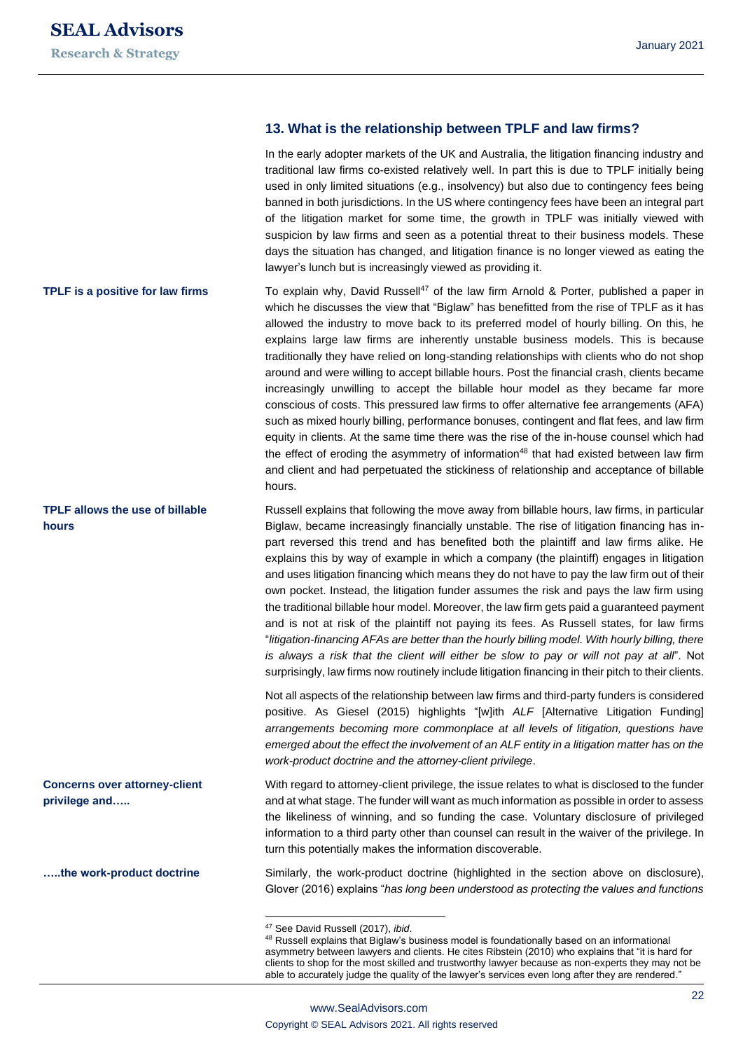#### **13. What is the relationship between TPLF and law firms?**

In the early adopter markets of the UK and Australia, the litigation financing industry and traditional law firms co-existed relatively well. In part this is due to TPLF initially being used in only limited situations (e.g., insolvency) but also due to contingency fees being banned in both jurisdictions. In the US where contingency fees have been an integral part of the litigation market for some time, the growth in TPLF was initially viewed with suspicion by law firms and seen as a potential threat to their business models. These days the situation has changed, and litigation finance is no longer viewed as eating the lawyer's lunch but is increasingly viewed as providing it.

To explain why, David Russell<sup>47</sup> of the law firm Arnold & Porter, published a paper in which he discusses the view that "Biglaw" has benefitted from the rise of TPLF as it has allowed the industry to move back to its preferred model of hourly billing. On this, he explains large law firms are inherently unstable business models. This is because traditionally they have relied on long-standing relationships with clients who do not shop around and were willing to accept billable hours. Post the financial crash, clients became increasingly unwilling to accept the billable hour model as they became far more conscious of costs. This pressured law firms to offer alternative fee arrangements (AFA) such as mixed hourly billing, performance bonuses, contingent and flat fees, and law firm equity in clients. At the same time there was the rise of the in-house counsel which had the effect of eroding the asymmetry of information<sup>48</sup> that had existed between law firm and client and had perpetuated the stickiness of relationship and acceptance of billable hours. **TPLF is a positive for law firms**

> Russell explains that following the move away from billable hours, law firms, in particular Biglaw, became increasingly financially unstable. The rise of litigation financing has inpart reversed this trend and has benefited both the plaintiff and law firms alike. He explains this by way of example in which a company (the plaintiff) engages in litigation and uses litigation financing which means they do not have to pay the law firm out of their own pocket. Instead, the litigation funder assumes the risk and pays the law firm using the traditional billable hour model. Moreover, the law firm gets paid a guaranteed payment and is not at risk of the plaintiff not paying its fees. As Russell states, for law firms "*litigation-financing AFAs are better than the hourly billing model. With hourly billing, there is always a risk that the client will either be slow to pay or will not pay at all*". Not surprisingly, law firms now routinely include litigation financing in their pitch to their clients.

Not all aspects of the relationship between law firms and third-party funders is considered positive. As Giesel (2015) highlights "[w]ith *ALF* [Alternative Litigation Funding] *arrangements becoming more commonplace at all levels of litigation, questions have emerged about the effect the involvement of an ALF entity in a litigation matter has on the work-product doctrine and the attorney-client privilege*.

With regard to attorney-client privilege, the issue relates to what is disclosed to the funder and at what stage. The funder will want as much information as possible in order to assess the likeliness of winning, and so funding the case. Voluntary disclosure of privileged information to a third party other than counsel can result in the waiver of the privilege. In turn this potentially makes the information discoverable.

Similarly, the work-product doctrine (highlighted in the section above on disclosure), Glover (2016) explains "*has long been understood as protecting the values and functions* 

**TPLF allows the use of billable hours** 

**Concerns over attorney-client privilege and…..**

**…..the work-product doctrine**

<sup>47</sup> See David Russell (2017), *ibid*.

<sup>&</sup>lt;sup>48</sup> Russell explains that Biglaw's business model is foundationally based on an informational asymmetry between lawyers and clients. He cites Ribstein (2010) who explains that "it is hard for clients to shop for the most skilled and trustworthy lawyer because as non-experts they may not be able to accurately judge the quality of the lawyer's services even long after they are rendered."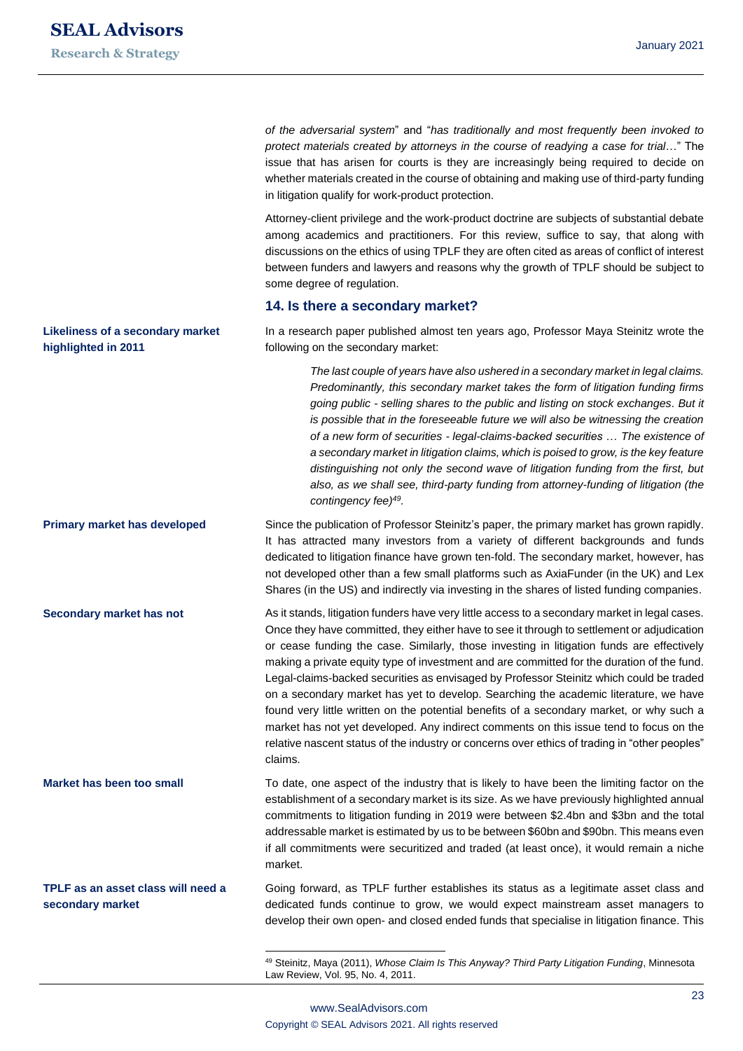**highlighted in 2011**

**Secondary market has not**

**TPLF as an asset class will need a** 

**secondary market**

*of the adversarial system*" and "*has traditionally and most frequently been invoked to protect materials created by attorneys in the course of readying a case for trial*…" The issue that has arisen for courts is they are increasingly being required to decide on whether materials created in the course of obtaining and making use of third-party funding in litigation qualify for work-product protection.

Attorney-client privilege and the work-product doctrine are subjects of substantial debate among academics and practitioners. For this review, suffice to say, that along with discussions on the ethics of using TPLF they are often cited as areas of conflict of interest between funders and lawyers and reasons why the growth of TPLF should be subject to some degree of regulation.

#### **14. Is there a secondary market?**

In a research paper published almost ten years ago, Professor Maya Steinitz wrote the following on the secondary market: **Likeliness of a secondary market** 

> *The last couple of years have also ushered in a secondary market in legal claims. Predominantly, this secondary market takes the form of litigation funding firms going public - selling shares to the public and listing on stock exchanges. But it is possible that in the foreseeable future we will also be witnessing the creation of a new form of securities - legal-claims-backed securities … The existence of a secondary market in litigation claims, which is poised to grow, is the key feature distinguishing not only the second wave of litigation funding from the first, but also, as we shall see, third-party funding from attorney-funding of litigation (the contingency fee)<sup>49</sup> .*

Since the publication of Professor Steinitz's paper, the primary market has grown rapidly. It has attracted many investors from a variety of different backgrounds and funds dedicated to litigation finance have grown ten-fold. The secondary market, however, has not developed other than a few small platforms such as AxiaFunder (in the UK) and Lex Shares (in the US) and indirectly via investing in the shares of listed funding companies. **Primary market has developed**

> As it stands, litigation funders have very little access to a secondary market in legal cases. Once they have committed, they either have to see it through to settlement or adjudication or cease funding the case. Similarly, those investing in litigation funds are effectively making a private equity type of investment and are committed for the duration of the fund. Legal-claims-backed securities as envisaged by Professor Steinitz which could be traded on a secondary market has yet to develop. Searching the academic literature, we have found very little written on the potential benefits of a secondary market, or why such a market has not yet developed. Any indirect comments on this issue tend to focus on the relative nascent status of the industry or concerns over ethics of trading in "other peoples" claims.

To date, one aspect of the industry that is likely to have been the limiting factor on the establishment of a secondary market is its size. As we have previously highlighted annual commitments to litigation funding in 2019 were between \$2.4bn and \$3bn and the total addressable market is estimated by us to be between \$60bn and \$90bn. This means even if all commitments were securitized and traded (at least once), it would remain a niche market. **Market has been too small**

> Going forward, as TPLF further establishes its status as a legitimate asset class and dedicated funds continue to grow, we would expect mainstream asset managers to develop their own open- and closed ended funds that specialise in litigation finance. This

<sup>49</sup> Steinitz, Maya (2011), *Whose Claim Is This Anyway? Third Party Litigation Funding*, Minnesota Law Review, Vol. 95, No. 4, 2011.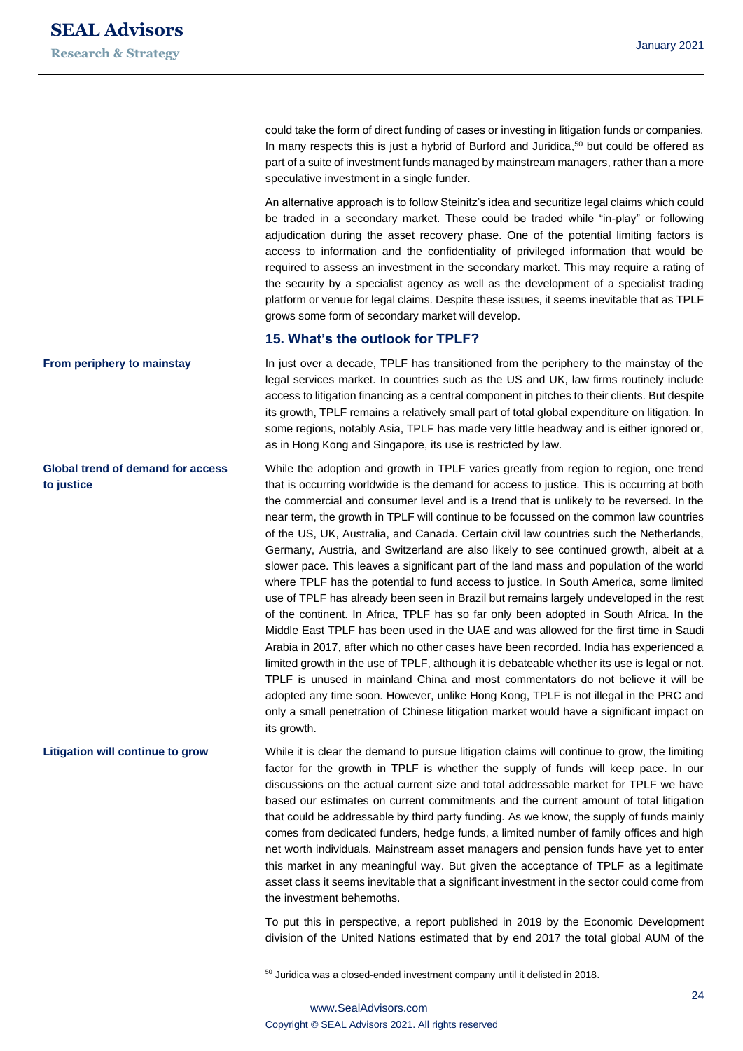could take the form of direct funding of cases or investing in litigation funds or companies. In many respects this is just a hybrid of Burford and Juridica, <sup>50</sup> but could be offered as part of a suite of investment funds managed by mainstream managers, rather than a more speculative investment in a single funder.

An alternative approach is to follow Steinitz's idea and securitize legal claims which could be traded in a secondary market. These could be traded while "in-play" or following adjudication during the asset recovery phase. One of the potential limiting factors is access to information and the confidentiality of privileged information that would be required to assess an investment in the secondary market. This may require a rating of the security by a specialist agency as well as the development of a specialist trading platform or venue for legal claims. Despite these issues, it seems inevitable that as TPLF grows some form of secondary market will develop.

#### **15. What's the outlook for TPLF?**

In just over a decade, TPLF has transitioned from the periphery to the mainstay of the legal services market. In countries such as the US and UK, law firms routinely include access to litigation financing as a central component in pitches to their clients. But despite its growth, TPLF remains a relatively small part of total global expenditure on litigation. In some regions, notably Asia, TPLF has made very little headway and is either ignored or, as in Hong Kong and Singapore, its use is restricted by law.

While the adoption and growth in TPLF varies greatly from region to region, one trend that is occurring worldwide is the demand for access to justice. This is occurring at both the commercial and consumer level and is a trend that is unlikely to be reversed. In the near term, the growth in TPLF will continue to be focussed on the common law countries of the US, UK, Australia, and Canada. Certain civil law countries such the Netherlands, Germany, Austria, and Switzerland are also likely to see continued growth, albeit at a slower pace. This leaves a significant part of the land mass and population of the world where TPLF has the potential to fund access to justice. In South America, some limited use of TPLF has already been seen in Brazil but remains largely undeveloped in the rest of the continent. In Africa, TPLF has so far only been adopted in South Africa. In the Middle East TPLF has been used in the UAE and was allowed for the first time in Saudi Arabia in 2017, after which no other cases have been recorded. India has experienced a limited growth in the use of TPLF, although it is debateable whether its use is legal or not. TPLF is unused in mainland China and most commentators do not believe it will be adopted any time soon. However, unlike Hong Kong, TPLF is not illegal in the PRC and only a small penetration of Chinese litigation market would have a significant impact on its growth.

While it is clear the demand to pursue litigation claims will continue to grow, the limiting factor for the growth in TPLF is whether the supply of funds will keep pace. In our discussions on the actual current size and total addressable market for TPLF we have based our estimates on current commitments and the current amount of total litigation that could be addressable by third party funding. As we know, the supply of funds mainly comes from dedicated funders, hedge funds, a limited number of family offices and high net worth individuals. Mainstream asset managers and pension funds have yet to enter this market in any meaningful way. But given the acceptance of TPLF as a legitimate asset class it seems inevitable that a significant investment in the sector could come from the investment behemoths.

> To put this in perspective, a report published in 2019 by the Economic Development division of the United Nations estimated that by end 2017 the total global AUM of the

<sup>50</sup> Juridica was a closed-ended investment company until it delisted in 2018.

# **From periphery to mainstay**

**Global trend of demand for access to justice**

## **Litigation will continue to grow**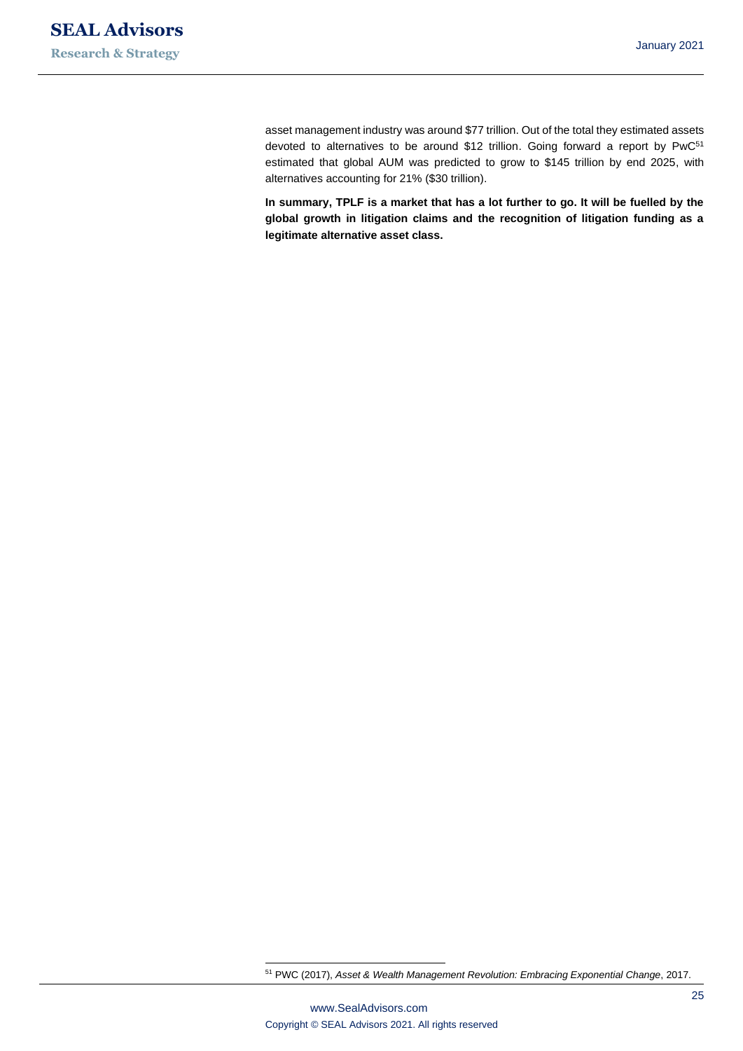asset management industry was around \$77 trillion. Out of the total they estimated assets devoted to alternatives to be around \$12 trillion. Going forward a report by PwC<sup>51</sup> estimated that global AUM was predicted to grow to \$145 trillion by end 2025, with alternatives accounting for 21% (\$30 trillion).

**In summary, TPLF is a market that has a lot further to go. It will be fuelled by the global growth in litigation claims and the recognition of litigation funding as a legitimate alternative asset class.** 

<sup>51</sup> PWC (2017), *Asset & Wealth Management Revolution: Embracing Exponential Change*, 2017.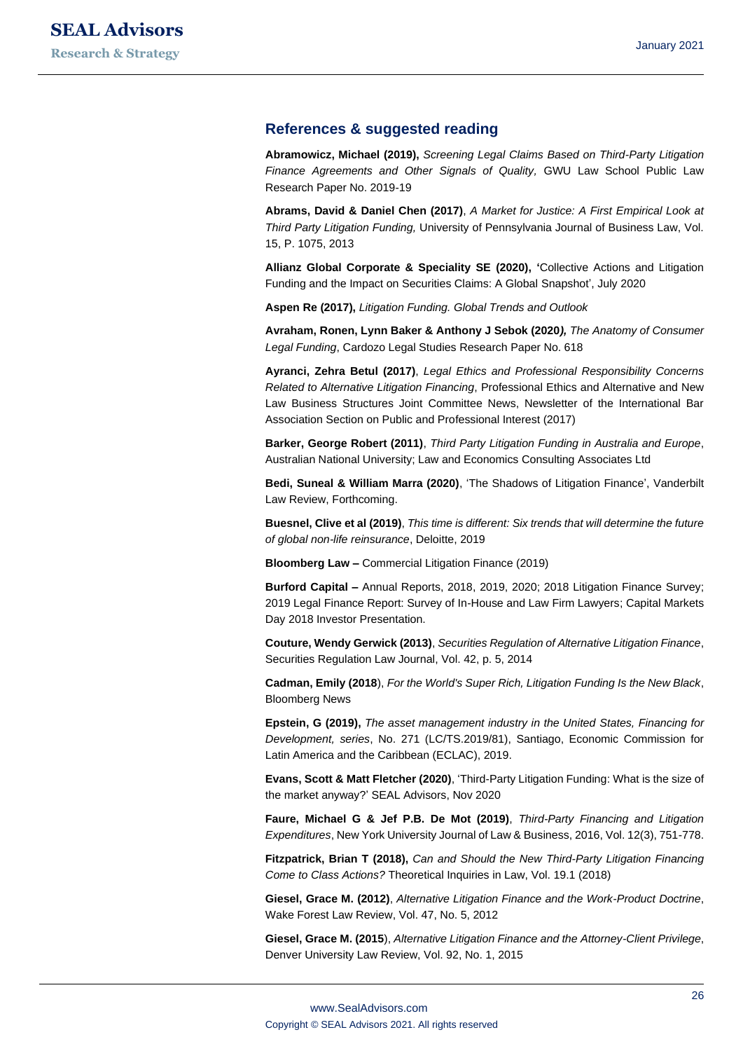#### **References & suggested reading**

**Abramowicz, Michael (2019),** *Screening Legal Claims Based on Third-Party Litigation Finance Agreements and Other Signals of Quality,* GWU Law School Public Law Research Paper No. 2019-19

**Abrams, David & Daniel Chen (2017)**, *A Market for Justice: A First Empirical Look at Third Party Litigation Funding,* University of Pennsylvania Journal of Business Law, Vol. 15, P. 1075, 2013

**Allianz Global Corporate & Speciality SE (2020), '**Collective Actions and Litigation Funding and the Impact on Securities Claims: A Global Snapshot', July 2020

**Aspen Re (2017),** *Litigation Funding. Global Trends and Outlook*

**Avraham, Ronen, Lynn Baker & Anthony J Sebok (2020***), The Anatomy of Consumer Legal Funding*, Cardozo Legal Studies Research Paper No. 618

**Ayranci, Zehra Betul (2017)**, *Legal Ethics and Professional Responsibility Concerns Related to Alternative Litigation Financing*, Professional Ethics and Alternative and New Law Business Structures Joint Committee News, Newsletter of the International Bar Association Section on Public and Professional Interest (2017)

**Barker, George Robert (2011)**, *Third Party Litigation Funding in Australia and Europe*, Australian National University; Law and Economics Consulting Associates Ltd

**Bedi, Suneal & William Marra (2020)**, 'The Shadows of Litigation Finance', Vanderbilt Law Review, Forthcoming.

**Buesnel, Clive et al (2019)**, *This time is different: Six trends that will determine the future of global non-life reinsurance*, Deloitte, 2019

**Bloomberg Law –** Commercial Litigation Finance (2019)

**Burford Capital –** Annual Reports, 2018, 2019, 2020; 2018 Litigation Finance Survey; 2019 Legal Finance Report: Survey of In-House and Law Firm Lawyers; Capital Markets Day 2018 Investor Presentation.

**Couture, Wendy Gerwick (2013)**, *Securities Regulation of Alternative Litigation Finance*, Securities Regulation Law Journal, Vol. 42, p. 5, 2014

**Cadman, Emily (2018**), *For the World's Super Rich, Litigation Funding Is the New Black*, Bloomberg News

**Epstein, G (2019),** *The asset management industry in the United States, Financing for Development, series*, No. 271 (LC/TS.2019/81), Santiago, Economic Commission for Latin America and the Caribbean (ECLAC), 2019.

**Evans, Scott & Matt Fletcher (2020)**, 'Third-Party Litigation Funding: What is the size of the market anyway?' SEAL Advisors, Nov 2020

**Faure, Michael G & Jef P.B. De Mot (2019)**, *Third-Party Financing and Litigation Expenditures*, New York University Journal of Law & Business, 2016, Vol. 12(3), 751-778.

**Fitzpatrick, Brian T (2018),** *Can and Should the New Third-Party Litigation Financing Come to Class Actions?* Theoretical Inquiries in Law, Vol. 19.1 (2018)

**Giesel, Grace M. (2012)**, *Alternative Litigation Finance and the Work-Product Doctrine*, Wake Forest Law Review, Vol. 47, No. 5, 2012

**Giesel, Grace M. (2015**), *Alternative Litigation Finance and the Attorney-Client Privilege*, Denver University Law Review, Vol. 92, No. 1, 2015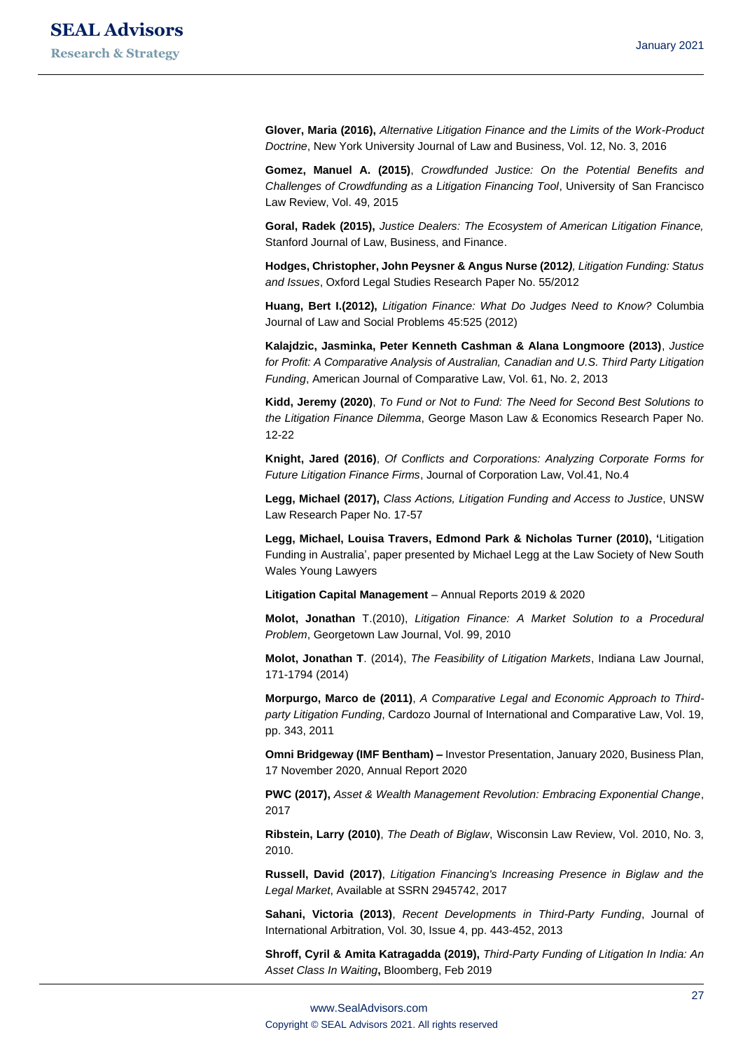**Glover, Maria (2016),** *Alternative Litigation Finance and the Limits of the Work-Product Doctrine*, New York University Journal of Law and Business, Vol. 12, No. 3, 2016

**Gomez, Manuel A. (2015)**, *Crowdfunded Justice: On the Potential Benefits and Challenges of Crowdfunding as a Litigation Financing Tool*, University of San Francisco Law Review, Vol. 49, 2015

**Goral, Radek (2015),** *Justice Dealers: The Ecosystem of American Litigation Finance,*  Stanford Journal of Law, Business, and Finance.

**Hodges, Christopher, John Peysner & Angus Nurse (2012***), Litigation Funding: Status and Issues*, Oxford Legal Studies Research Paper No. 55/2012

**Huang, Bert I.(2012),** *Litigation Finance: What Do Judges Need to Know?* Columbia Journal of Law and Social Problems 45:525 (2012)

**Kalajdzic, Jasminka, Peter Kenneth Cashman & Alana Longmoore (2013)**, *Justice for Profit: A Comparative Analysis of Australian, Canadian and U.S. Third Party Litigation Funding*, American Journal of Comparative Law, Vol. 61, No. 2, 2013

**Kidd, Jeremy (2020)**, *To Fund or Not to Fund: The Need for Second Best Solutions to the Litigation Finance Dilemma*, George Mason Law & Economics Research Paper No. 12-22

**Knight, Jared (2016)**, *Of Conflicts and Corporations: Analyzing Corporate Forms for Future Litigation Finance Firms*, Journal of Corporation Law, Vol.41, No.4

**Legg, Michael (2017),** *Class Actions, Litigation Funding and Access to Justice*, UNSW Law Research Paper No. 17-57

**Legg, Michael, Louisa Travers, Edmond Park & Nicholas Turner (2010), '**Litigation Funding in Australia', paper presented by Michael Legg at the Law Society of New South Wales Young Lawyers

**Litigation Capital Management** – Annual Reports 2019 & 2020

**Molot, Jonathan** T.(2010), *Litigation Finance: A Market Solution to a Procedural Problem*, Georgetown Law Journal, Vol. 99, 2010

**Molot, Jonathan T**. (2014), *The Feasibility of Litigation Markets*, Indiana Law Journal, 171-1794 (2014)

**Morpurgo, Marco de (2011)**, *A Comparative Legal and Economic Approach to Thirdparty Litigation Funding*, Cardozo Journal of International and Comparative Law, Vol. 19, pp. 343, 2011

**Omni Bridgeway (IMF Bentham) –** Investor Presentation, January 2020, Business Plan, 17 November 2020, Annual Report 2020

**PWC (2017),** *Asset & Wealth Management Revolution: Embracing Exponential Change*, 2017

**Ribstein, Larry (2010)**, *The Death of Biglaw*, Wisconsin Law Review, Vol. 2010, No. 3, 2010.

**Russell, David (2017)**, *Litigation Financing's Increasing Presence in Biglaw and the Legal Market*, Available at SSRN 2945742, 2017

**Sahani, Victoria (2013)**, *Recent Developments in Third-Party Funding*, Journal of International Arbitration, Vol. 30, Issue 4, pp. 443-452, 2013

**Shroff, Cyril & Amita Katragadda (2019),** *Third-Party Funding of Litigation In India: An Asset Class In Waiting***,** Bloomberg, Feb 2019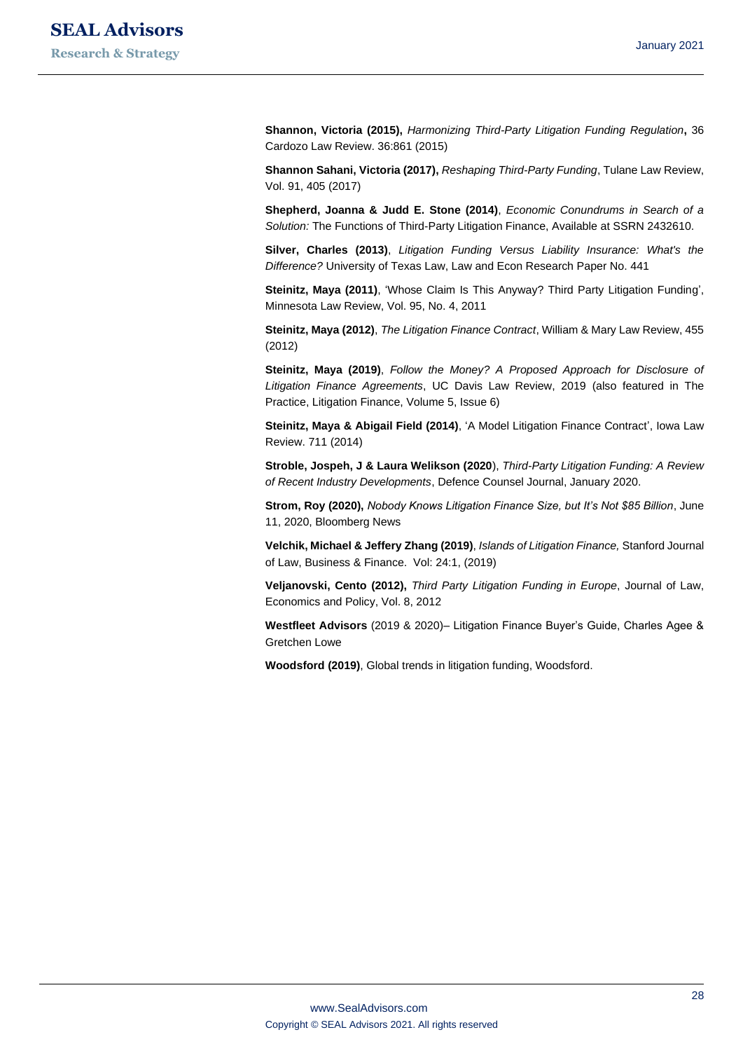**Shannon, Victoria (2015),** *Harmonizing Third-Party Litigation Funding Regulation***,** 36 Cardozo Law Review. 36:861 (2015)

**Shannon Sahani, Victoria (2017),** *Reshaping Third-Party Funding*, Tulane Law Review, Vol. 91, 405 (2017)

**Shepherd, Joanna & Judd E. Stone (2014)**, *Economic Conundrums in Search of a Solution:* The Functions of Third-Party Litigation Finance, Available at SSRN 2432610.

**Silver, Charles (2013)**, *Litigation Funding Versus Liability Insurance: What's the Difference?* University of Texas Law, Law and Econ Research Paper No. 441

**Steinitz, Maya (2011)**, 'Whose Claim Is This Anyway? Third Party Litigation Funding', Minnesota Law Review, Vol. 95, No. 4, 2011

**Steinitz, Maya (2012)**, *The Litigation Finance Contract*, William & Mary Law Review, 455 (2012)

**Steinitz, Maya (2019)**, *Follow the Money? A Proposed Approach for Disclosure of Litigation Finance Agreements*, UC Davis Law Review, 2019 (also featured in The Practice, Litigation Finance, Volume 5, Issue 6)

**Steinitz, Maya & Abigail Field (2014)**, 'A Model Litigation Finance Contract', Iowa Law Review. 711 (2014)

**Stroble, Jospeh, J & Laura Welikson (2020**), *Third-Party Litigation Funding: A Review of Recent Industry Developments*, Defence Counsel Journal, January 2020.

**Strom, Roy (2020),** *Nobody Knows Litigation Finance Size, but It's Not \$85 Billion*, June 11, 2020, Bloomberg News

**Velchik, Michael & Jeffery Zhang (2019)**, *Islands of Litigation Finance,* Stanford Journal of Law, Business & Finance. Vol: 24:1, (2019)

**Veljanovski, Cento (2012),** *Third Party Litigation Funding in Europe*, Journal of Law, Economics and Policy, Vol. 8, 2012

**Westfleet Advisors** (2019 & 2020)– Litigation Finance Buyer's Guide, Charles Agee & Gretchen Lowe

**Woodsford (2019)**, Global trends in litigation funding, Woodsford.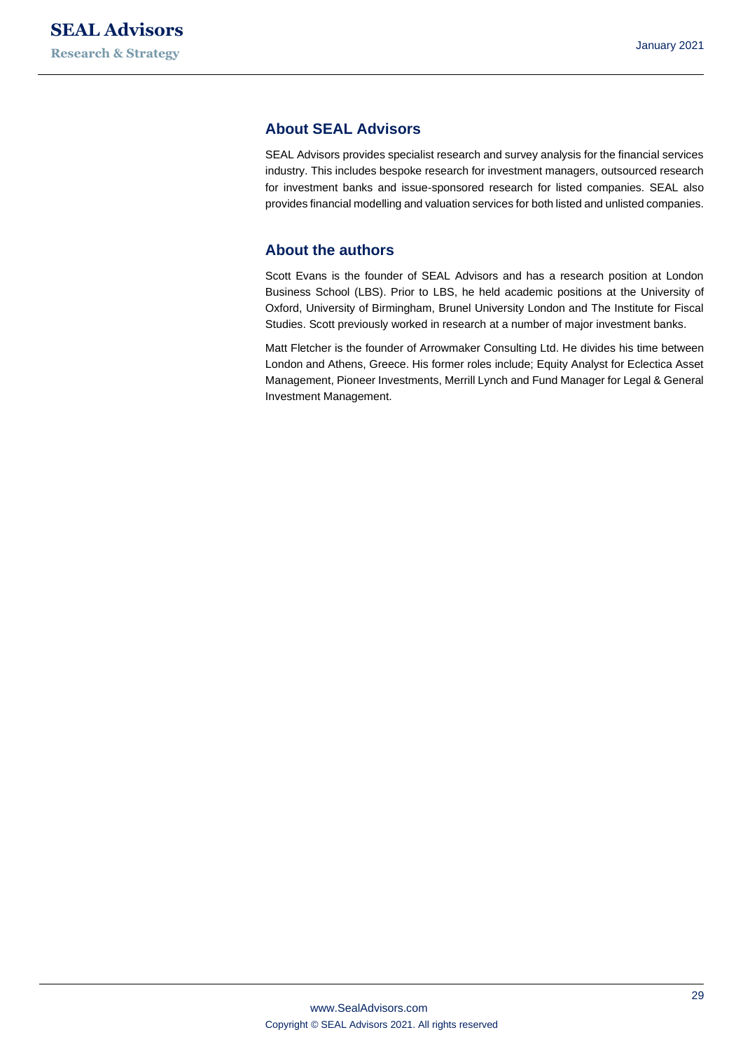# **About SEAL Advisors**

SEAL Advisors provides specialist research and survey analysis for the financial services industry. This includes bespoke research for investment managers, outsourced research for investment banks and issue-sponsored research for listed companies. SEAL also provides financial modelling and valuation services for both listed and unlisted companies.

#### **About the authors**

Scott Evans is the founder of SEAL Advisors and has a research position at London Business School (LBS). Prior to LBS, he held academic positions at the University of Oxford, University of Birmingham, Brunel University London and The Institute for Fiscal Studies. Scott previously worked in research at a number of major investment banks.

Matt Fletcher is the founder of Arrowmaker Consulting Ltd. He divides his time between London and Athens, Greece. His former roles include; Equity Analyst for Eclectica Asset Management, Pioneer Investments, Merrill Lynch and Fund Manager for Legal & General Investment Management.